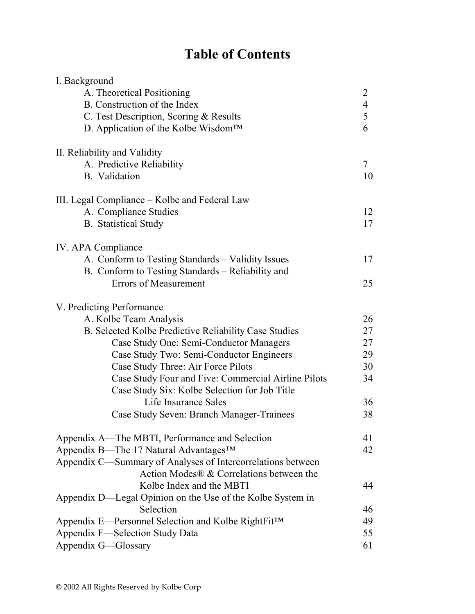# Table of Contents

| I. Background                                               |                |
|-------------------------------------------------------------|----------------|
| A. Theoretical Positioning                                  | 2              |
| B. Construction of the Index                                | $\overline{4}$ |
| C. Test Description, Scoring & Results                      | 5              |
| D. Application of the Kolbe Wisdom™                         | 6              |
| II. Reliability and Validity                                |                |
| A. Predictive Reliability                                   | $\overline{7}$ |
| <b>B.</b> Validation                                        | 10             |
| III. Legal Compliance – Kolbe and Federal Law               |                |
| A. Compliance Studies                                       | 12             |
| <b>B.</b> Statistical Study                                 | 17             |
| IV. APA Compliance                                          |                |
| A. Conform to Testing Standards - Validity Issues           | 17             |
| B. Conform to Testing Standards - Reliability and           |                |
| <b>Errors of Measurement</b>                                | 25             |
| V. Predicting Performance                                   |                |
| A. Kolbe Team Analysis                                      | 26             |
| B. Selected Kolbe Predictive Reliability Case Studies       | 27             |
| Case Study One: Semi-Conductor Managers                     | 27             |
| Case Study Two: Semi-Conductor Engineers                    | 29             |
| Case Study Three: Air Force Pilots                          | 30             |
| Case Study Four and Five: Commercial Airline Pilots         | 34             |
| Case Study Six: Kolbe Selection for Job Title               |                |
| Life Insurance Sales                                        | 36             |
| Case Study Seven: Branch Manager-Trainees                   | 38             |
| Appendix A—The MBTI, Performance and Selection              | 41             |
| Appendix B—The 17 Natural Advantages <sup>TM</sup>          | 42             |
| Appendix C—Summary of Analyses of Intercorrelations between |                |
| Action Modes® & Correlations between the                    |                |
| Kolbe Index and the MBTI                                    | 44             |
| Appendix D—Legal Opinion on the Use of the Kolbe System in  |                |
| Selection                                                   | 46             |
| Appendix E—Personnel Selection and Kolbe RightFit™          | 49             |
| Appendix F—Selection Study Data                             | 55             |
| Appendix G-Glossary                                         | 61             |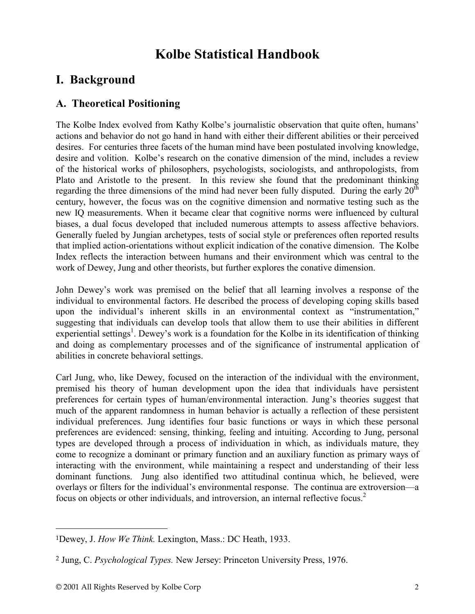# Kolbe Statistical Handbook

# I. Background

### A. Theoretical Positioning

The Kolbe Index evolved from Kathy Kolbe's journalistic observation that quite often, humans' actions and behavior do not go hand in hand with either their different abilities or their perceived desires. For centuries three facets of the human mind have been postulated involving knowledge, desire and volition. Kolbe's research on the conative dimension of the mind, includes a review of the historical works of philosophers, psychologists, sociologists, and anthropologists, from Plato and Aristotle to the present. In this review she found that the predominant thinking regarding the three dimensions of the mind had never been fully disputed. During the early  $20^{th}$ century, however, the focus was on the cognitive dimension and normative testing such as the new IQ measurements. When it became clear that cognitive norms were influenced by cultural biases, a dual focus developed that included numerous attempts to assess affective behaviors. Generally fueled by Jungian archetypes, tests of social style or preferences often reported results that implied action-orientations without explicit indication of the conative dimension. The Kolbe Index reflects the interaction between humans and their environment which was central to the work of Dewey, Jung and other theorists, but further explores the conative dimension.

John Dewey's work was premised on the belief that all learning involves a response of the individual to environmental factors. He described the process of developing coping skills based upon the individual's inherent skills in an environmental context as "instrumentation," suggesting that individuals can develop tools that allow them to use their abilities in different experiential settings<sup>1</sup>. Dewey's work is a foundation for the Kolbe in its identification of thinking and doing as complementary processes and of the significance of instrumental application of abilities in concrete behavioral settings.

Carl Jung, who, like Dewey, focused on the interaction of the individual with the environment, premised his theory of human development upon the idea that individuals have persistent preferences for certain types of human/environmental interaction. Jung's theories suggest that much of the apparent randomness in human behavior is actually a reflection of these persistent individual preferences. Jung identifies four basic functions or ways in which these personal preferences are evidenced: sensing, thinking, feeling and intuiting. According to Jung, personal types are developed through a process of individuation in which, as individuals mature, they come to recognize a dominant or primary function and an auxiliary function as primary ways of interacting with the environment, while maintaining a respect and understanding of their less dominant functions. Jung also identified two attitudinal continua which, he believed, were overlays or filters for the individual's environmental response. The continua are extroversion—a focus on objects or other individuals, and introversion, an internal reflective focus.<sup>2</sup>

-

<sup>1</sup>Dewey, J. How We Think. Lexington, Mass.: DC Heath, 1933.

<sup>2</sup> Jung, C. Psychological Types. New Jersey: Princeton University Press, 1976.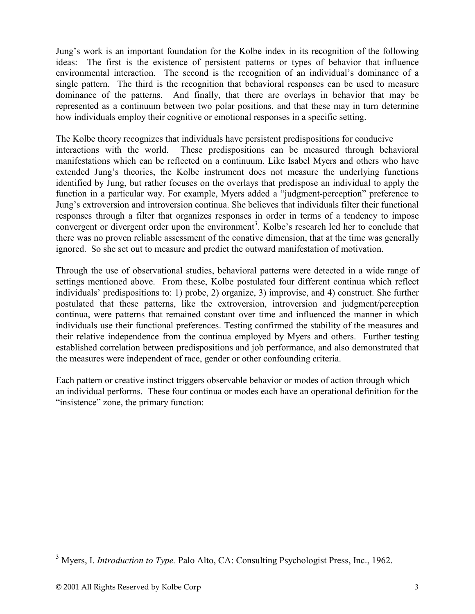Jung's work is an important foundation for the Kolbe index in its recognition of the following ideas: The first is the existence of persistent patterns or types of behavior that influence environmental interaction. The second is the recognition of an individual's dominance of a single pattern. The third is the recognition that behavioral responses can be used to measure dominance of the patterns. And finally, that there are overlays in behavior that may be represented as a continuum between two polar positions, and that these may in turn determine how individuals employ their cognitive or emotional responses in a specific setting.

The Kolbe theory recognizes that individuals have persistent predispositions for conducive interactions with the world. These predispositions can be measured through behavioral manifestations which can be reflected on a continuum. Like Isabel Myers and others who have extended Jung's theories, the Kolbe instrument does not measure the underlying functions identified by Jung, but rather focuses on the overlays that predispose an individual to apply the function in a particular way. For example, Myers added a "judgment-perception" preference to Jung's extroversion and introversion continua. She believes that individuals filter their functional responses through a filter that organizes responses in order in terms of a tendency to impose convergent or divergent order upon the environment<sup>3</sup>. Kolbe's research led her to conclude that there was no proven reliable assessment of the conative dimension, that at the time was generally ignored. So she set out to measure and predict the outward manifestation of motivation.

Through the use of observational studies, behavioral patterns were detected in a wide range of settings mentioned above. From these, Kolbe postulated four different continua which reflect individuals' predispositions to: 1) probe, 2) organize, 3) improvise, and 4) construct. She further postulated that these patterns, like the extroversion, introversion and judgment/perception continua, were patterns that remained constant over time and influenced the manner in which individuals use their functional preferences. Testing confirmed the stability of the measures and their relative independence from the continua employed by Myers and others. Further testing established correlation between predispositions and job performance, and also demonstrated that the measures were independent of race, gender or other confounding criteria.

Each pattern or creative instinct triggers observable behavior or modes of action through which an individual performs. These four continua or modes each have an operational definition for the "insistence" zone, the primary function:

<sup>&</sup>lt;sup>3</sup> Myers, I. *Introduction to Type*. Palo Alto, CA: Consulting Psychologist Press, Inc., 1962.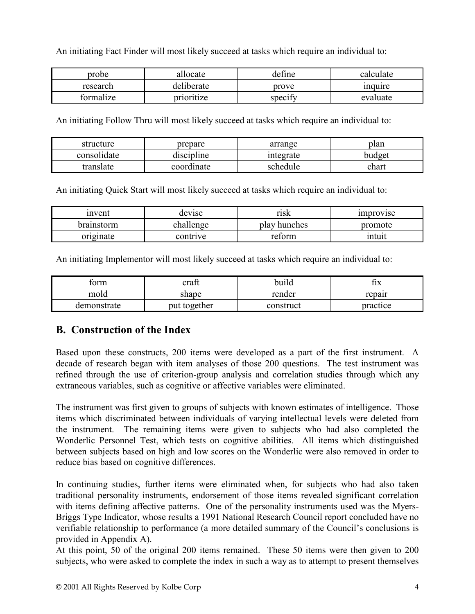An initiating Fact Finder will most likely succeed at tasks which require an individual to:

| probe     | define<br>allocate |         | calculate |
|-----------|--------------------|---------|-----------|
| research  | deliberate         | prove   | mquire    |
| tormalize | prioritize         | specity | evaluate  |

An initiating Follow Thru will most likely succeed at tasks which require an individual to:

| structure   | prepare    | arrange   | plan   |
|-------------|------------|-----------|--------|
| consolidate | discipline | integrate | budget |
| translate   | coordinate | schedule  | chart  |

An initiating Quick Start will most likely succeed at tasks which require an individual to:

| ınvent     | devise    | rısk         | <i>improvise</i> |
|------------|-----------|--------------|------------------|
| brainstorm | challenge | play hunches | promote          |
| originate  | contrive  | reform       | ıntuıt           |

An initiating Implementor will most likely succeed at tasks which require an individual to:

| torm        | craft        | build     | l v<br>ПA |
|-------------|--------------|-----------|-----------|
| mold        | shape        | render    | repair    |
| demonstrate | put together | construct | practice  |

### B. Construction of the Index

Based upon these constructs, 200 items were developed as a part of the first instrument. A decade of research began with item analyses of those 200 questions. The test instrument was refined through the use of criterion-group analysis and correlation studies through which any extraneous variables, such as cognitive or affective variables were eliminated.

The instrument was first given to groups of subjects with known estimates of intelligence. Those items which discriminated between individuals of varying intellectual levels were deleted from the instrument. The remaining items were given to subjects who had also completed the Wonderlic Personnel Test, which tests on cognitive abilities. All items which distinguished between subjects based on high and low scores on the Wonderlic were also removed in order to reduce bias based on cognitive differences.

In continuing studies, further items were eliminated when, for subjects who had also taken traditional personality instruments, endorsement of those items revealed significant correlation with items defining affective patterns. One of the personality instruments used was the Myers-Briggs Type Indicator, whose results a 1991 National Research Council report concluded have no verifiable relationship to performance (a more detailed summary of the Council's conclusions is provided in Appendix A).

At this point, 50 of the original 200 items remained. These 50 items were then given to 200 subjects, who were asked to complete the index in such a way as to attempt to present themselves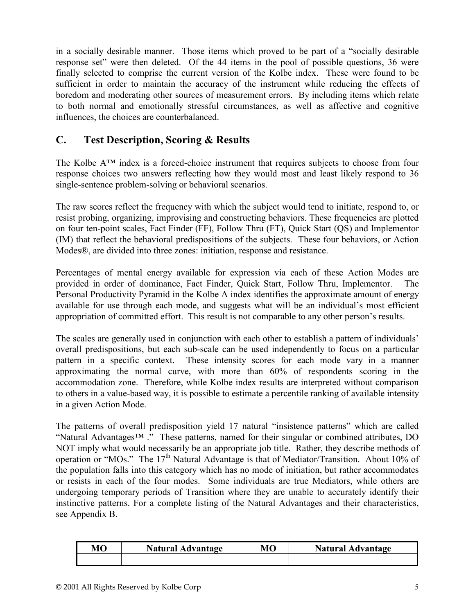in a socially desirable manner. Those items which proved to be part of a "socially desirable response set" were then deleted. Of the 44 items in the pool of possible questions, 36 were finally selected to comprise the current version of the Kolbe index. These were found to be sufficient in order to maintain the accuracy of the instrument while reducing the effects of boredom and moderating other sources of measurement errors. By including items which relate to both normal and emotionally stressful circumstances, as well as affective and cognitive influences, the choices are counterbalanced.

### C. Test Description, Scoring & Results

The Kolbe A™ index is a forced-choice instrument that requires subjects to choose from four response choices two answers reflecting how they would most and least likely respond to 36 single-sentence problem-solving or behavioral scenarios.

The raw scores reflect the frequency with which the subject would tend to initiate, respond to, or resist probing, organizing, improvising and constructing behaviors. These frequencies are plotted on four ten-point scales, Fact Finder (FF), Follow Thru (FT), Quick Start (QS) and Implementor (IM) that reflect the behavioral predispositions of the subjects. These four behaviors, or Action Modes®, are divided into three zones: initiation, response and resistance.

Percentages of mental energy available for expression via each of these Action Modes are provided in order of dominance, Fact Finder, Quick Start, Follow Thru, Implementor. The Personal Productivity Pyramid in the Kolbe A index identifies the approximate amount of energy available for use through each mode, and suggests what will be an individual's most efficient appropriation of committed effort. This result is not comparable to any other person's results.

The scales are generally used in conjunction with each other to establish a pattern of individuals' overall predispositions, but each sub-scale can be used independently to focus on a particular pattern in a specific context. These intensity scores for each mode vary in a manner approximating the normal curve, with more than 60% of respondents scoring in the accommodation zone. Therefore, while Kolbe index results are interpreted without comparison to others in a value-based way, it is possible to estimate a percentile ranking of available intensity in a given Action Mode.

The patterns of overall predisposition yield 17 natural "insistence patterns" which are called "Natural Advantages™ ." These patterns, named for their singular or combined attributes, DO NOT imply what would necessarily be an appropriate job title. Rather, they describe methods of operation or "MOs." The 17<sup>th</sup> Natural Advantage is that of Mediator/Transition. About 10% of the population falls into this category which has no mode of initiation, but rather accommodates or resists in each of the four modes. Some individuals are true Mediators, while others are undergoing temporary periods of Transition where they are unable to accurately identify their instinctive patterns. For a complete listing of the Natural Advantages and their characteristics, see Appendix B.

| МO | <b>Natural Advantage</b> | МC | <b>Natural Advantage</b> |
|----|--------------------------|----|--------------------------|
|    |                          |    |                          |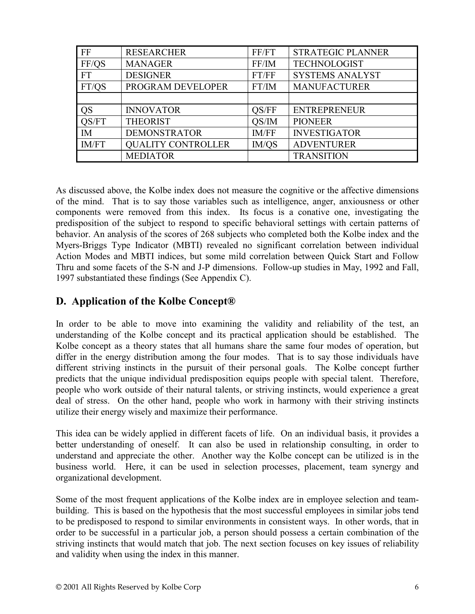| FF        | <b>RESEARCHER</b>         | FF/FT        | <b>STRATEGIC PLANNER</b> |
|-----------|---------------------------|--------------|--------------------------|
| FF/OS     | <b>MANAGER</b>            | FF/IM        | <b>TECHNOLOGIST</b>      |
| FT        | <b>DESIGNER</b>           | FT/FF        | <b>SYSTEMS ANALYST</b>   |
| FT/OS     | PROGRAM DEVELOPER         | FT/IM        | <b>MANUFACTURER</b>      |
|           |                           |              |                          |
| QS        | <b>INNOVATOR</b>          | QS/FF        | <b>ENTREPRENEUR</b>      |
| QS/FT     | <b>THEORIST</b>           | QS/IM        | <b>PIONEER</b>           |
| <b>IM</b> | <b>DEMONSTRATOR</b>       | <b>IM/FF</b> | <b>INVESTIGATOR</b>      |
| IM/FT     | <b>QUALITY CONTROLLER</b> | IM/QS        | <b>ADVENTURER</b>        |
|           | <b>MEDIATOR</b>           |              | <b>TRANSITION</b>        |

As discussed above, the Kolbe index does not measure the cognitive or the affective dimensions of the mind. That is to say those variables such as intelligence, anger, anxiousness or other components were removed from this index. Its focus is a conative one, investigating the predisposition of the subject to respond to specific behavioral settings with certain patterns of behavior. An analysis of the scores of 268 subjects who completed both the Kolbe index and the Myers-Briggs Type Indicator (MBTI) revealed no significant correlation between individual Action Modes and MBTI indices, but some mild correlation between Quick Start and Follow Thru and some facets of the S-N and J-P dimensions. Follow-up studies in May, 1992 and Fall, 1997 substantiated these findings (See Appendix C).

### D. Application of the Kolbe Concept®

In order to be able to move into examining the validity and reliability of the test, an understanding of the Kolbe concept and its practical application should be established. The Kolbe concept as a theory states that all humans share the same four modes of operation, but differ in the energy distribution among the four modes. That is to say those individuals have different striving instincts in the pursuit of their personal goals. The Kolbe concept further predicts that the unique individual predisposition equips people with special talent. Therefore, people who work outside of their natural talents, or striving instincts, would experience a great deal of stress. On the other hand, people who work in harmony with their striving instincts utilize their energy wisely and maximize their performance.

This idea can be widely applied in different facets of life. On an individual basis, it provides a better understanding of oneself. It can also be used in relationship consulting, in order to understand and appreciate the other. Another way the Kolbe concept can be utilized is in the business world. Here, it can be used in selection processes, placement, team synergy and organizational development.

Some of the most frequent applications of the Kolbe index are in employee selection and teambuilding. This is based on the hypothesis that the most successful employees in similar jobs tend to be predisposed to respond to similar environments in consistent ways. In other words, that in order to be successful in a particular job, a person should possess a certain combination of the striving instincts that would match that job. The next section focuses on key issues of reliability and validity when using the index in this manner.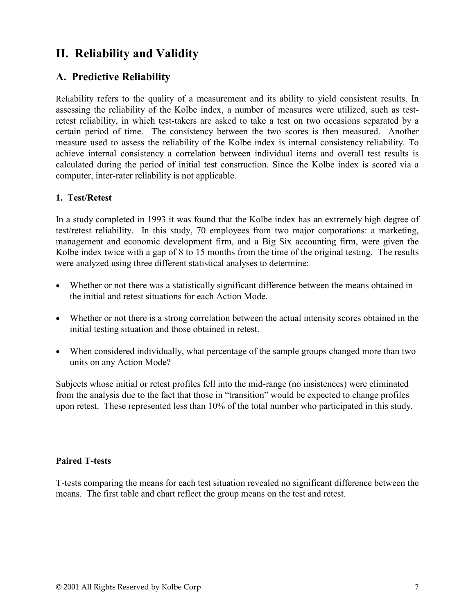# II. Reliability and Validity

### A. Predictive Reliability

Reliability refers to the quality of a measurement and its ability to yield consistent results. In assessing the reliability of the Kolbe index, a number of measures were utilized, such as testretest reliability, in which test-takers are asked to take a test on two occasions separated by a certain period of time. The consistency between the two scores is then measured. Another measure used to assess the reliability of the Kolbe index is internal consistency reliability. To achieve internal consistency a correlation between individual items and overall test results is calculated during the period of initial test construction. Since the Kolbe index is scored via a computer, inter-rater reliability is not applicable.

#### 1. Test/Retest

In a study completed in 1993 it was found that the Kolbe index has an extremely high degree of test/retest reliability. In this study, 70 employees from two major corporations: a marketing, management and economic development firm, and a Big Six accounting firm, were given the Kolbe index twice with a gap of 8 to 15 months from the time of the original testing. The results were analyzed using three different statistical analyses to determine:

- Whether or not there was a statistically significant difference between the means obtained in the initial and retest situations for each Action Mode.
- Whether or not there is a strong correlation between the actual intensity scores obtained in the initial testing situation and those obtained in retest.
- When considered individually, what percentage of the sample groups changed more than two units on any Action Mode?

Subjects whose initial or retest profiles fell into the mid-range (no insistences) were eliminated from the analysis due to the fact that those in "transition" would be expected to change profiles upon retest. These represented less than 10% of the total number who participated in this study.

#### Paired T-tests

T-tests comparing the means for each test situation revealed no significant difference between the means. The first table and chart reflect the group means on the test and retest.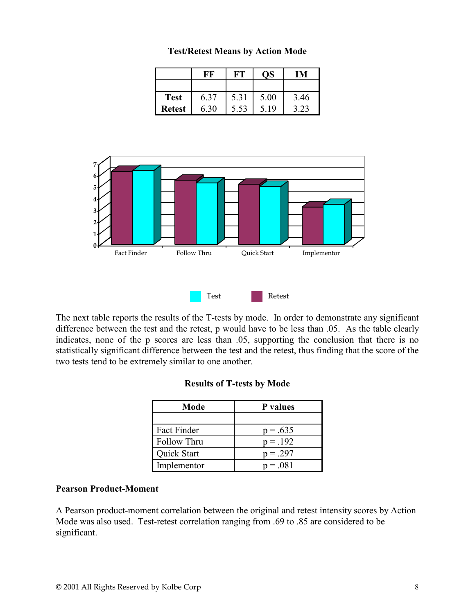|               | FF   | FТ   | QS   | ſМ   |
|---------------|------|------|------|------|
|               |      |      |      |      |
| <b>Test</b>   | 6.37 | 5.31 | 5.00 | 3.46 |
| <b>Retest</b> | 6.30 | 5.53 | 5.19 |      |

Test/Retest Means by Action Mode



The next table reports the results of the T-tests by mode. In order to demonstrate any significant difference between the test and the retest, p would have to be less than .05. As the table clearly indicates, none of the p scores are less than .05, supporting the conclusion that there is no statistically significant difference between the test and the retest, thus finding that the score of the two tests tend to be extremely similar to one another.

#### Results of T-tests by Mode

| Mode        | P values   |
|-------------|------------|
|             |            |
| Fact Finder | $p = .635$ |
| Follow Thru | $p = .192$ |
| Quick Start | $p = .297$ |
| Implementor | $p = .081$ |

#### Pearson Product-Moment

A Pearson product-moment correlation between the original and retest intensity scores by Action Mode was also used. Test-retest correlation ranging from .69 to .85 are considered to be significant.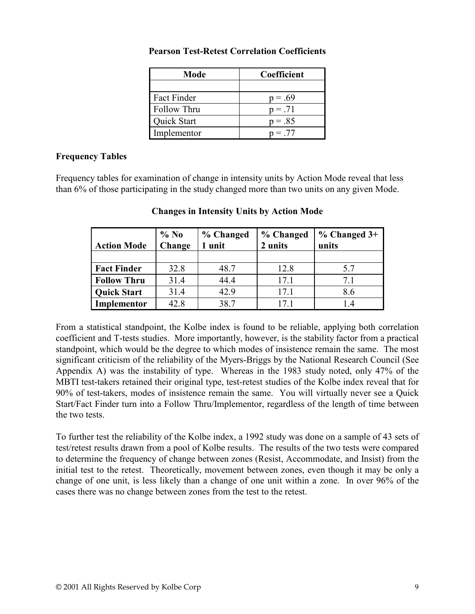| Mode               | Coefficient |
|--------------------|-------------|
|                    |             |
| Fact Finder        | $p = .69$   |
| <b>Follow Thru</b> | $p = .71$   |
| Quick Start        | $p = .85$   |
| Implementor        | $= 77$      |

#### Pearson Test-Retest Correlation Coefficients

#### Frequency Tables

Frequency tables for examination of change in intensity units by Action Mode reveal that less than 6% of those participating in the study changed more than two units on any given Mode.

|                    | $%$ No | % Changed | % Changed | $%$ Changed 3+ |
|--------------------|--------|-----------|-----------|----------------|
| <b>Action Mode</b> | Change | 1 unit    | 2 units   | units          |
|                    |        |           |           |                |
| <b>Fact Finder</b> | 32.8   | 48.7      | 12.8      | 5.7            |
| <b>Follow Thru</b> | 31.4   | 44.4      | 17.1      | 7 <sub>1</sub> |
| <b>Quick Start</b> | 31.4   | 42.9      | 17.1      | 8.6            |
| Implementor        | 42 S   | 38.7      | 17.1      | 14             |

#### Changes in Intensity Units by Action Mode

From a statistical standpoint, the Kolbe index is found to be reliable, applying both correlation coefficient and T-tests studies. More importantly, however, is the stability factor from a practical standpoint, which would be the degree to which modes of insistence remain the same. The most significant criticism of the reliability of the Myers-Briggs by the National Research Council (See Appendix A) was the instability of type. Whereas in the 1983 study noted, only 47% of the MBTI test-takers retained their original type, test-retest studies of the Kolbe index reveal that for 90% of test-takers, modes of insistence remain the same. You will virtually never see a Quick Start/Fact Finder turn into a Follow Thru/Implementor, regardless of the length of time between the two tests.

To further test the reliability of the Kolbe index, a 1992 study was done on a sample of 43 sets of test/retest results drawn from a pool of Kolbe results. The results of the two tests were compared to determine the frequency of change between zones (Resist, Accommodate, and Insist) from the initial test to the retest. Theoretically, movement between zones, even though it may be only a change of one unit, is less likely than a change of one unit within a zone. In over 96% of the cases there was no change between zones from the test to the retest.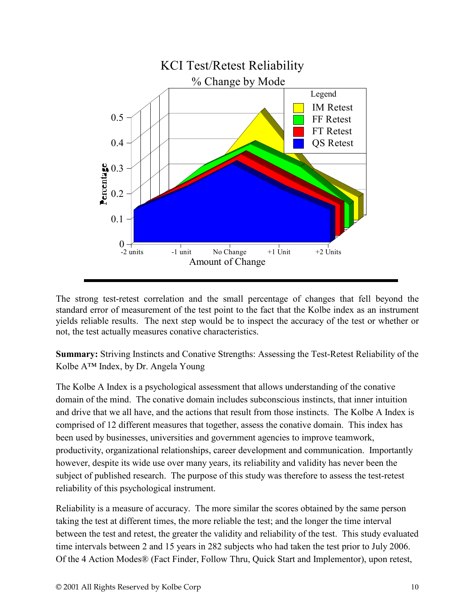

The strong test-retest correlation and the small percentage of changes that fell beyond the standard error of measurement of the test point to the fact that the Kolbe index as an instrument yields reliable results. The next step would be to inspect the accuracy of the test or whether or not, the test actually measures conative characteristics.

Summary: Striving Instincts and Conative Strengths: Assessing the Test-Retest Reliability of the Kolbe A™ Index, by Dr. Angela Young

The Kolbe A Index is a psychological assessment that allows understanding of the conative domain of the mind. The conative domain includes subconscious instincts, that inner intuition and drive that we all have, and the actions that result from those instincts. The Kolbe A Index is comprised of 12 different measures that together, assess the conative domain. This index has been used by businesses, universities and government agencies to improve teamwork, productivity, organizational relationships, career development and communication. Importantly however, despite its wide use over many years, its reliability and validity has never been the subject of published research. The purpose of this study was therefore to assess the test-retest reliability of this psychological instrument.

Reliability is a measure of accuracy. The more similar the scores obtained by the same person taking the test at different times, the more reliable the test; and the longer the time interval between the test and retest, the greater the validity and reliability of the test. This study evaluated time intervals between 2 and 15 years in 282 subjects who had taken the test prior to July 2006. Of the 4 Action Modes® (Fact Finder, Follow Thru, Quick Start and Implementor), upon retest,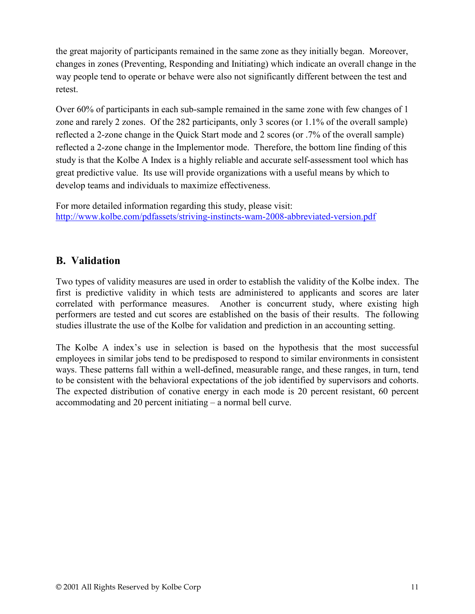the great majority of participants remained in the same zone as they initially began. Moreover, changes in zones (Preventing, Responding and Initiating) which indicate an overall change in the way people tend to operate or behave were also not significantly different between the test and retest.

Over 60% of participants in each sub-sample remained in the same zone with few changes of 1 zone and rarely 2 zones. Of the 282 participants, only 3 scores (or 1.1% of the overall sample) reflected a 2-zone change in the Quick Start mode and 2 scores (or .7% of the overall sample) reflected a 2-zone change in the Implementor mode. Therefore, the bottom line finding of this study is that the Kolbe A Index is a highly reliable and accurate self-assessment tool which has great predictive value. Its use will provide organizations with a useful means by which to develop teams and individuals to maximize effectiveness.

For more detailed information regarding this study, please visit: http://www.kolbe.com/pdfassets/striving-instincts-wam-2008-abbreviated-version.pdf

### B. Validation

Two types of validity measures are used in order to establish the validity of the Kolbe index. The first is predictive validity in which tests are administered to applicants and scores are later correlated with performance measures. Another is concurrent study, where existing high performers are tested and cut scores are established on the basis of their results. The following studies illustrate the use of the Kolbe for validation and prediction in an accounting setting.

The Kolbe A index's use in selection is based on the hypothesis that the most successful employees in similar jobs tend to be predisposed to respond to similar environments in consistent ways. These patterns fall within a well-defined, measurable range, and these ranges, in turn, tend to be consistent with the behavioral expectations of the job identified by supervisors and cohorts. The expected distribution of conative energy in each mode is 20 percent resistant, 60 percent accommodating and 20 percent initiating – a normal bell curve.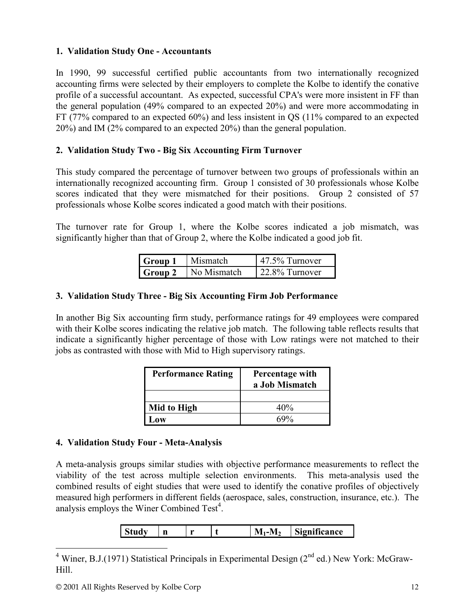#### 1. Validation Study One - Accountants

In 1990, 99 successful certified public accountants from two internationally recognized accounting firms were selected by their employers to complete the Kolbe to identify the conative profile of a successful accountant. As expected, successful CPA's were more insistent in FF than the general population (49% compared to an expected 20%) and were more accommodating in FT (77% compared to an expected 60%) and less insistent in QS (11% compared to an expected 20%) and IM (2% compared to an expected 20%) than the general population.

#### 2. Validation Study Two - Big Six Accounting Firm Turnover

This study compared the percentage of turnover between two groups of professionals within an internationally recognized accounting firm. Group 1 consisted of 30 professionals whose Kolbe scores indicated that they were mismatched for their positions. Group 2 consisted of 57 professionals whose Kolbe scores indicated a good match with their positions.

The turnover rate for Group 1, where the Kolbe scores indicated a job mismatch, was significantly higher than that of Group 2, where the Kolbe indicated a good job fit.

| Group 1 | Mismatch    | 47.5% Turnover     |
|---------|-------------|--------------------|
| Group 2 | No Mismatch | $-22.8\%$ Turnover |

#### 3. Validation Study Three - Big Six Accounting Firm Job Performance

In another Big Six accounting firm study, performance ratings for 49 employees were compared with their Kolbe scores indicating the relative job match. The following table reflects results that indicate a significantly higher percentage of those with Low ratings were not matched to their jobs as contrasted with those with Mid to High supervisory ratings.

| <b>Performance Rating</b> | Percentage with<br>a Job Mismatch |
|---------------------------|-----------------------------------|
|                           |                                   |
| Mid to High               | 40%                               |
| .0W                       |                                   |

#### 4. Validation Study Four - Meta-Analysis

A meta-analysis groups similar studies with objective performance measurements to reflect the viability of the test across multiple selection environments. This meta-analysis used the combined results of eight studies that were used to identify the conative profiles of objectively measured high performers in different fields (aerospace, sales, construction, insurance, etc.). The analysis employs the Winer Combined Test<sup>4</sup>.

|  | $\boldsymbol{\mathsf{u}}$ d $\mathbf{v}$ | n | -- |  | $M_{\odot}$<br>$\sqrt{2}$<br>N | . .<br>Significance<br>ຼ |
|--|------------------------------------------|---|----|--|--------------------------------|--------------------------|
|--|------------------------------------------|---|----|--|--------------------------------|--------------------------|

<sup>4&</sup>lt;br>Winer, B.J.(1971) Statistical Principals in Experimental Design (2<sup>nd</sup> ed.) New York: McGraw-Hill.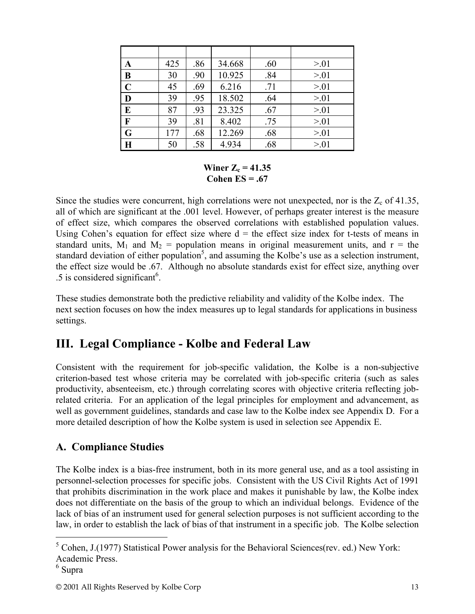| A           | 425 | .86 | 34.668 | .60 | > 0.01 |
|-------------|-----|-----|--------|-----|--------|
| B           | 30  | .90 | 10.925 | .84 | > 01   |
| $\mathbf C$ | 45  | .69 | 6.216  | .71 | > 01   |
| D           | 39  | .95 | 18.502 | .64 | > 01   |
| E           | 87  | .93 | 23.325 | .67 | > 01   |
| F           | 39  | .81 | 8.402  | .75 | > 01   |
| G           | 177 | .68 | 12.269 | .68 | > 01   |
| H           | 50  | .58 | 4.934  | .68 | > 01   |

Winer  $Z_c = 41.35$ Cohen  $ES = .67$ 

Since the studies were concurrent, high correlations were not unexpected, nor is the  $Z_c$  of 41.35, all of which are significant at the .001 level. However, of perhaps greater interest is the measure of effect size, which compares the observed correlations with established population values. Using Cohen's equation for effect size where  $d =$  the effect size index for t-tests of means in standard units,  $M_1$  and  $M_2$  = population means in original measurement units, and  $r =$  the standard deviation of either population<sup>5</sup>, and assuming the Kolbe's use as a selection instrument, the effect size would be .67. Although no absolute standards exist for effect size, anything over  $.5$  is considered significant<sup>6</sup>.

These studies demonstrate both the predictive reliability and validity of the Kolbe index. The next section focuses on how the index measures up to legal standards for applications in business settings.

## III. Legal Compliance - Kolbe and Federal Law

Consistent with the requirement for job-specific validation, the Kolbe is a non-subjective criterion-based test whose criteria may be correlated with job-specific criteria (such as sales productivity, absenteeism, etc.) through correlating scores with objective criteria reflecting jobrelated criteria. For an application of the legal principles for employment and advancement, as well as government guidelines, standards and case law to the Kolbe index see Appendix D. For a more detailed description of how the Kolbe system is used in selection see Appendix E.

### A. Compliance Studies

The Kolbe index is a bias-free instrument, both in its more general use, and as a tool assisting in personnel-selection processes for specific jobs. Consistent with the US Civil Rights Act of 1991 that prohibits discrimination in the work place and makes it punishable by law, the Kolbe index does not differentiate on the basis of the group to which an individual belongs. Evidence of the lack of bias of an instrument used for general selection purposes is not sufficient according to the law, in order to establish the lack of bias of that instrument in a specific job. The Kolbe selection

<sup>&</sup>lt;sup>5</sup> Cohen, J.(1977) Statistical Power analysis for the Behavioral Sciences(rev. ed.) New York: Academic Press.

<sup>6</sup> Supra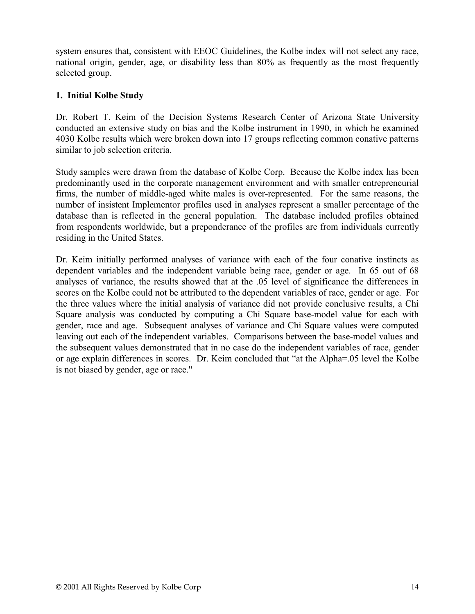system ensures that, consistent with EEOC Guidelines, the Kolbe index will not select any race, national origin, gender, age, or disability less than 80% as frequently as the most frequently selected group.

#### 1. Initial Kolbe Study

Dr. Robert T. Keim of the Decision Systems Research Center of Arizona State University conducted an extensive study on bias and the Kolbe instrument in 1990, in which he examined 4030 Kolbe results which were broken down into 17 groups reflecting common conative patterns similar to job selection criteria.

Study samples were drawn from the database of Kolbe Corp. Because the Kolbe index has been predominantly used in the corporate management environment and with smaller entrepreneurial firms, the number of middle-aged white males is over-represented. For the same reasons, the number of insistent Implementor profiles used in analyses represent a smaller percentage of the database than is reflected in the general population. The database included profiles obtained from respondents worldwide, but a preponderance of the profiles are from individuals currently residing in the United States.

Dr. Keim initially performed analyses of variance with each of the four conative instincts as dependent variables and the independent variable being race, gender or age. In 65 out of 68 analyses of variance, the results showed that at the .05 level of significance the differences in scores on the Kolbe could not be attributed to the dependent variables of race, gender or age. For the three values where the initial analysis of variance did not provide conclusive results, a Chi Square analysis was conducted by computing a Chi Square base-model value for each with gender, race and age. Subsequent analyses of variance and Chi Square values were computed leaving out each of the independent variables. Comparisons between the base-model values and the subsequent values demonstrated that in no case do the independent variables of race, gender or age explain differences in scores. Dr. Keim concluded that "at the Alpha=.05 level the Kolbe is not biased by gender, age or race."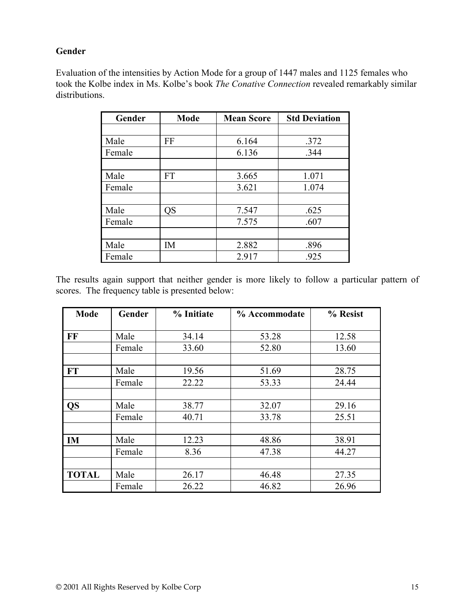#### Gender

Evaluation of the intensities by Action Mode for a group of 1447 males and 1125 females who took the Kolbe index in Ms. Kolbe's book The Conative Connection revealed remarkably similar distributions.

| Gender | <b>Mode</b> | <b>Mean Score</b> | <b>Std Deviation</b> |
|--------|-------------|-------------------|----------------------|
|        |             |                   |                      |
| Male   | FF          | 6.164             | .372                 |
| Female |             | 6.136             | .344                 |
|        |             |                   |                      |
| Male   | FT          | 3.665             | 1.071                |
| Female |             | 3.621             | 1.074                |
|        |             |                   |                      |
| Male   | QS          | 7.547             | .625                 |
| Female |             | 7.575             | .607                 |
|        |             |                   |                      |
| Male   | IM          | 2.882             | .896                 |
| Female |             | 2.917             | .925                 |

The results again support that neither gender is more likely to follow a particular pattern of scores. The frequency table is presented below:

| Mode         | Gender | % Initiate | % Accommodate | % Resist |
|--------------|--------|------------|---------------|----------|
|              |        |            |               |          |
| FF           | Male   | 34.14      | 53.28         | 12.58    |
|              | Female | 33.60      | 52.80         | 13.60    |
|              |        |            |               |          |
| <b>FT</b>    | Male   | 19.56      | 51.69         | 28.75    |
|              | Female | 22.22      | 53.33         | 24.44    |
|              |        |            |               |          |
| <b>QS</b>    | Male   | 38.77      | 32.07         | 29.16    |
|              | Female | 40.71      | 33.78         | 25.51    |
|              |        |            |               |          |
| IM           | Male   | 12.23      | 48.86         | 38.91    |
|              | Female | 8.36       | 47.38         | 44.27    |
|              |        |            |               |          |
| <b>TOTAL</b> | Male   | 26.17      | 46.48         | 27.35    |
|              | Female | 26.22      | 46.82         | 26.96    |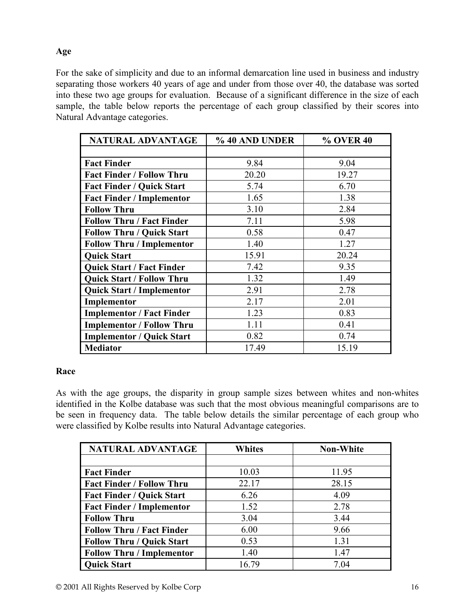For the sake of simplicity and due to an informal demarcation line used in business and industry separating those workers 40 years of age and under from those over 40, the database was sorted into these two age groups for evaluation. Because of a significant difference in the size of each sample, the table below reports the percentage of each group classified by their scores into Natural Advantage categories.

| NATURAL ADVANTAGE                | % 40 AND UNDER | <b>% OVER 40</b> |
|----------------------------------|----------------|------------------|
|                                  |                |                  |
| <b>Fact Finder</b>               | 9.84           | 9.04             |
| <b>Fact Finder / Follow Thru</b> | 20.20          | 19.27            |
| <b>Fact Finder / Quick Start</b> | 5.74           | 6.70             |
| <b>Fact Finder / Implementor</b> | 1.65           | 1.38             |
| <b>Follow Thru</b>               | 3.10           | 2.84             |
| <b>Follow Thru / Fact Finder</b> | 7.11           | 5.98             |
| <b>Follow Thru / Quick Start</b> | 0.58           | 0.47             |
| <b>Follow Thru / Implementor</b> | 1.40           | 1.27             |
| <b>Quick Start</b>               | 15.91          | 20.24            |
| <b>Quick Start / Fact Finder</b> | 7.42           | 9.35             |
| <b>Quick Start / Follow Thru</b> | 1.32           | 1.49             |
| <b>Quick Start / Implementor</b> | 2.91           | 2.78             |
| Implementor                      | 2.17           | 2.01             |
| <b>Implementor / Fact Finder</b> | 1.23           | 0.83             |
| <b>Implementor / Follow Thru</b> | 1.11           | 0.41             |
| <b>Implementor / Quick Start</b> | 0.82           | 0.74             |
| <b>Mediator</b>                  | 17.49          | 15.19            |

#### Race

As with the age groups, the disparity in group sample sizes between whites and non-whites identified in the Kolbe database was such that the most obvious meaningful comparisons are to be seen in frequency data. The table below details the similar percentage of each group who were classified by Kolbe results into Natural Advantage categories.

| NATURAL ADVANTAGE                | <b>Whites</b> | <b>Non-White</b> |
|----------------------------------|---------------|------------------|
|                                  |               |                  |
| <b>Fact Finder</b>               | 10.03         | 11.95            |
| <b>Fact Finder / Follow Thru</b> | 22.17         | 28.15            |
| <b>Fact Finder / Quick Start</b> | 6.26          | 4.09             |
| <b>Fact Finder / Implementor</b> | 1.52          | 2.78             |
| <b>Follow Thru</b>               | 3.04          | 3.44             |
| <b>Follow Thru / Fact Finder</b> | 6.00          | 9.66             |
| <b>Follow Thru / Quick Start</b> | 0.53          | 1.31             |
| <b>Follow Thru / Implementor</b> | 1.40          | 1.47             |
| <b>Quick Start</b>               | 16.79         | 7.04             |

Age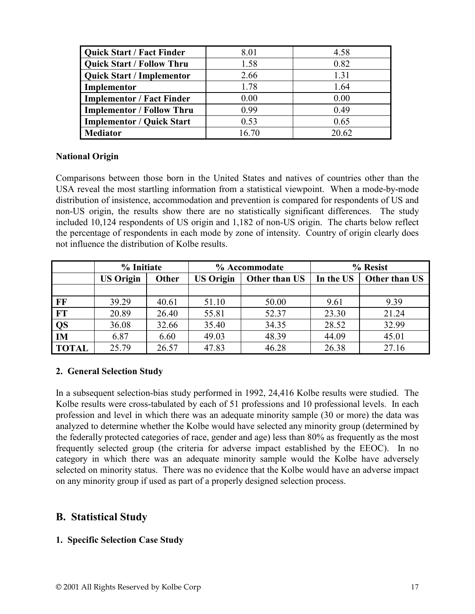| <b>Quick Start / Fact Finder</b> | 8.01  | 4.58  |
|----------------------------------|-------|-------|
| <b>Quick Start / Follow Thru</b> | 1.58  | 0.82  |
| <b>Quick Start / Implementor</b> | 2.66  | 1.31  |
| Implementor                      | 1.78  | 1.64  |
| <b>Implementor / Fact Finder</b> | 0.00  | 0.00  |
| <b>Implementor / Follow Thru</b> | 0.99  | 0.49  |
| <b>Implementor / Quick Start</b> | 0.53  | 0.65  |
| <b>Mediator</b>                  | 16.70 | 20.62 |

#### National Origin

Comparisons between those born in the United States and natives of countries other than the USA reveal the most startling information from a statistical viewpoint. When a mode-by-mode distribution of insistence, accommodation and prevention is compared for respondents of US and non-US origin, the results show there are no statistically significant differences. The study included 10,124 respondents of US origin and 1,182 of non-US origin. The charts below reflect the percentage of respondents in each mode by zone of intensity. Country of origin clearly does not influence the distribution of Kolbe results.

|              | % Initiate       |       |                  | % Accommodate | % Resist  |               |
|--------------|------------------|-------|------------------|---------------|-----------|---------------|
|              | <b>US Origin</b> | Other | <b>US Origin</b> | Other than US | In the US | Other than US |
|              |                  |       |                  |               |           |               |
| FF           | 39.29            | 40.61 | 51.10            | 50.00         | 9.61      | 9.39          |
| <b>FT</b>    | 20.89            | 26.40 | 55.81            | 52.37         | 23.30     | 21.24         |
| <b>QS</b>    | 36.08            | 32.66 | 35.40            | 34.35         | 28.52     | 32.99         |
| <b>IM</b>    | 6.87             | 6.60  | 49.03            | 48.39         | 44.09     | 45.01         |
| <b>TOTAL</b> | 25.79            | 26.57 | 47.83            | 46.28         | 26.38     | 27.16         |

#### 2. General Selection Study

In a subsequent selection-bias study performed in 1992, 24,416 Kolbe results were studied. The Kolbe results were cross-tabulated by each of 51 professions and 10 professional levels. In each profession and level in which there was an adequate minority sample (30 or more) the data was analyzed to determine whether the Kolbe would have selected any minority group (determined by the federally protected categories of race, gender and age) less than 80% as frequently as the most frequently selected group (the criteria for adverse impact established by the EEOC). In no category in which there was an adequate minority sample would the Kolbe have adversely selected on minority status. There was no evidence that the Kolbe would have an adverse impact on any minority group if used as part of a properly designed selection process.

### B. Statistical Study

#### 1. Specific Selection Case Study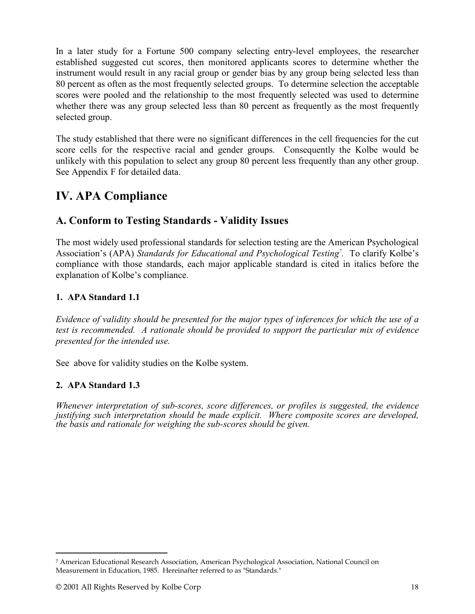In a later study for a Fortune 500 company selecting entry-level employees, the researcher established suggested cut scores, then monitored applicants scores to determine whether the instrument would result in any racial group or gender bias by any group being selected less than 80 percent as often as the most frequently selected groups. To determine selection the acceptable scores were pooled and the relationship to the most frequently selected was used to determine whether there was any group selected less than 80 percent as frequently as the most frequently selected group.

The study established that there were no significant differences in the cell frequencies for the cut score cells for the respective racial and gender groups. Consequently the Kolbe would be unlikely with this population to select any group 80 percent less frequently than any other group. See Appendix F for detailed data.

## IV. APA Compliance

### A. Conform to Testing Standards - Validity Issues

The most widely used professional standards for selection testing are the American Psychological Association's (APA) Standards for Educational and Psychological Testing<sup>7</sup>. To clarify Kolbe's compliance with those standards, each major applicable standard is cited in italics before the explanation of Kolbe's compliance.

#### 1. APA Standard 1.1

Evidence of validity should be presented for the major types of inferences for which the use of a test is recommended. A rationale should be provided to support the particular mix of evidence presented for the intended use.

See above for validity studies on the Kolbe system.

### 2. APA Standard 1.3

-

Whenever interpretation of sub-scores, score differences, or profiles is suggested, the evidence justifying such interpretation should be made explicit. Where composite scores are developed, the basis and rationale for weighing the sub-scores should be given.

<sup>7</sup> American Educational Research Association, American Psychological Association, National Council on Measurement in Education, 1985. Hereinafter referred to as "Standards."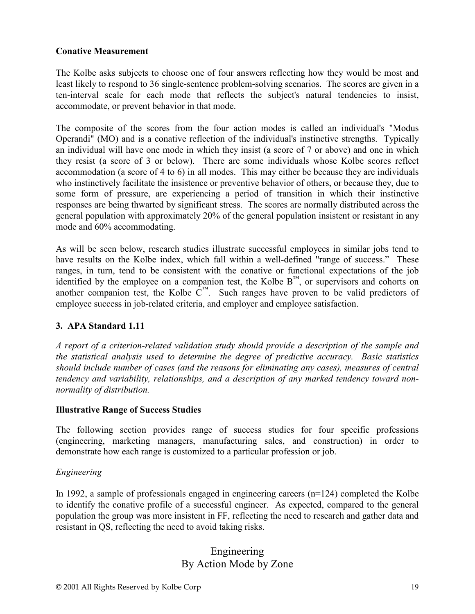#### Conative Measurement

The Kolbe asks subjects to choose one of four answers reflecting how they would be most and least likely to respond to 36 single-sentence problem-solving scenarios. The scores are given in a ten-interval scale for each mode that reflects the subject's natural tendencies to insist, accommodate, or prevent behavior in that mode.

The composite of the scores from the four action modes is called an individual's "Modus Operandi" (MO) and is a conative reflection of the individual's instinctive strengths. Typically an individual will have one mode in which they insist (a score of 7 or above) and one in which they resist (a score of 3 or below). There are some individuals whose Kolbe scores reflect accommodation (a score of 4 to 6) in all modes. This may either be because they are individuals who instinctively facilitate the insistence or preventive behavior of others, or because they, due to some form of pressure, are experiencing a period of transition in which their instinctive responses are being thwarted by significant stress. The scores are normally distributed across the general population with approximately 20% of the general population insistent or resistant in any mode and 60% accommodating.

As will be seen below, research studies illustrate successful employees in similar jobs tend to have results on the Kolbe index, which fall within a well-defined "range of success." These ranges, in turn, tend to be consistent with the conative or functional expectations of the job identified by the employee on a companion test, the Kolbe  $B^{\mathbb{N}}$ , or supervisors and cohorts on another companion test, the Kolbe  $C^{\mathbb{N}}$ . Such ranges have proven to be valid predictors of employee success in job-related criteria, and employer and employee satisfaction.

#### 3. APA Standard 1.11

A report of a criterion-related validation study should provide a description of the sample and the statistical analysis used to determine the degree of predictive accuracy. Basic statistics should include number of cases (and the reasons for eliminating any cases), measures of central tendency and variability, relationships, and a description of any marked tendency toward nonnormality of distribution.

#### Illustrative Range of Success Studies

The following section provides range of success studies for four specific professions (engineering, marketing managers, manufacturing sales, and construction) in order to demonstrate how each range is customized to a particular profession or job.

#### Engineering

In 1992, a sample of professionals engaged in engineering careers (n=124) completed the Kolbe to identify the conative profile of a successful engineer. As expected, compared to the general population the group was more insistent in FF, reflecting the need to research and gather data and resistant in QS, reflecting the need to avoid taking risks.

### Engineering By Action Mode by Zone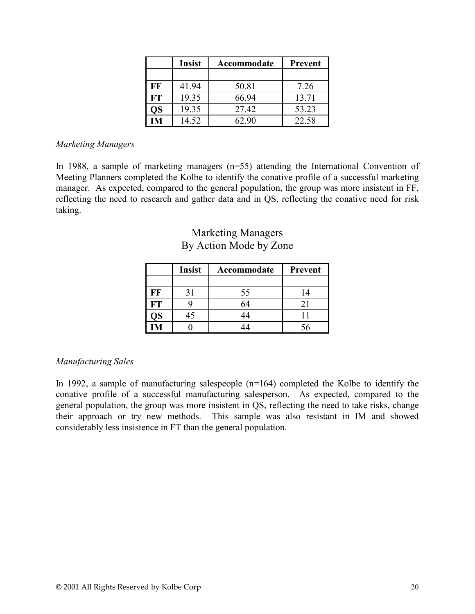|           | <b>Insist</b> | Accommodate | <b>Prevent</b> |
|-----------|---------------|-------------|----------------|
|           |               |             |                |
| FF        | 41.94         | 50.81       | 7.26           |
| FT        | 19.35         | 66.94       | 13.71          |
| <b>OS</b> | 19.35         | 27.42       | 53.23          |
| IМ        | 14.52         | 62.90       | 22.58          |

#### Marketing Managers

In 1988, a sample of marketing managers (n=55) attending the International Convention of Meeting Planners completed the Kolbe to identify the conative profile of a successful marketing manager. As expected, compared to the general population, the group was more insistent in FF, reflecting the need to research and gather data and in QS, reflecting the conative need for risk taking.

### Marketing Managers By Action Mode by Zone

|                         | <b>Insist</b> | Accommodate | Prevent |
|-------------------------|---------------|-------------|---------|
|                         |               |             |         |
| FF                      | 31            | 55          |         |
| <b>FT</b>               |               |             | 21      |
| $\overline{\textbf{S}}$ |               |             |         |
|                         |               |             | 56      |

#### Manufacturing Sales

In 1992, a sample of manufacturing salespeople (n=164) completed the Kolbe to identify the conative profile of a successful manufacturing salesperson. As expected, compared to the general population, the group was more insistent in QS, reflecting the need to take risks, change their approach or try new methods. This sample was also resistant in IM and showed considerably less insistence in FT than the general population.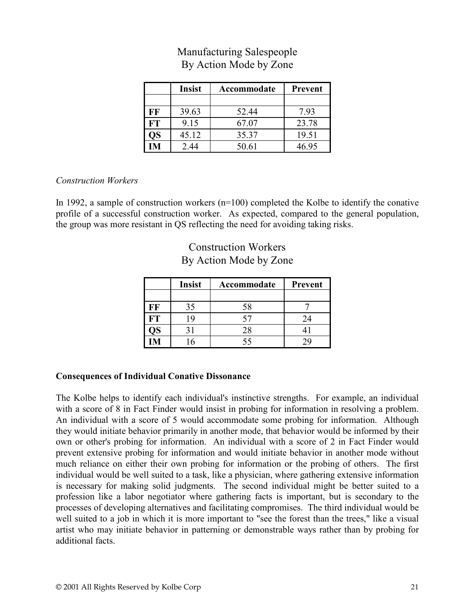|    | <b>Insist</b> | Accommodate | <b>Prevent</b> |
|----|---------------|-------------|----------------|
|    |               |             |                |
| FF | 39.63         | 52.44       | 7.93           |
| FT | 9.15          | 67.07       | 23.78          |
| ОS | 45.12         | 35.37       | 19.51          |
| ſМ | 2 44          | 50.61       | 46.95          |

### Manufacturing Salespeople By Action Mode by Zone

#### Construction Workers

In 1992, a sample of construction workers  $(n=100)$  completed the Kolbe to identify the conative profile of a successful construction worker. As expected, compared to the general population, the group was more resistant in QS reflecting the need for avoiding taking risks.

### Construction Workers By Action Mode by Zone

|    | Insist | Accommodate | Prevent |
|----|--------|-------------|---------|
|    |        |             |         |
| FF | 35     | 58          |         |
| FT | 9      |             | 24      |
| QS |        | 28          |         |
|    |        | 55          |         |

#### Consequences of Individual Conative Dissonance

The Kolbe helps to identify each individual's instinctive strengths. For example, an individual with a score of 8 in Fact Finder would insist in probing for information in resolving a problem. An individual with a score of 5 would accommodate some probing for information. Although they would initiate behavior primarily in another mode, that behavior would be informed by their own or other's probing for information. An individual with a score of 2 in Fact Finder would prevent extensive probing for information and would initiate behavior in another mode without much reliance on either their own probing for information or the probing of others. The first individual would be well suited to a task, like a physician, where gathering extensive information is necessary for making solid judgments. The second individual might be better suited to a profession like a labor negotiator where gathering facts is important, but is secondary to the processes of developing alternatives and facilitating compromises. The third individual would be well suited to a job in which it is more important to "see the forest than the trees," like a visual artist who may initiate behavior in patterning or demonstrable ways rather than by probing for additional facts.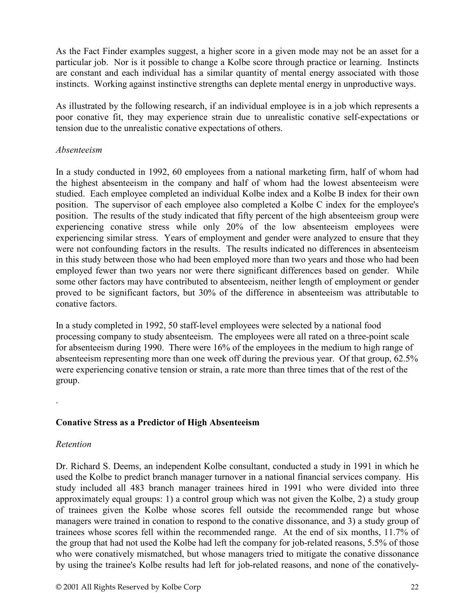As the Fact Finder examples suggest, a higher score in a given mode may not be an asset for a particular job. Nor is it possible to change a Kolbe score through practice or learning. Instincts are constant and each individual has a similar quantity of mental energy associated with those instincts. Working against instinctive strengths can deplete mental energy in unproductive ways.

As illustrated by the following research, if an individual employee is in a job which represents a poor conative fit, they may experience strain due to unrealistic conative self-expectations or tension due to the unrealistic conative expectations of others.

#### Absenteeism

In a study conducted in 1992, 60 employees from a national marketing firm, half of whom had the highest absenteeism in the company and half of whom had the lowest absenteeism were studied. Each employee completed an individual Kolbe index and a Kolbe B index for their own position. The supervisor of each employee also completed a Kolbe C index for the employee's position. The results of the study indicated that fifty percent of the high absenteeism group were experiencing conative stress while only 20% of the low absenteeism employees were experiencing similar stress. Years of employment and gender were analyzed to ensure that they were not confounding factors in the results. The results indicated no differences in absenteeism in this study between those who had been employed more than two years and those who had been employed fewer than two years nor were there significant differences based on gender. While some other factors may have contributed to absenteeism, neither length of employment or gender proved to be significant factors, but 30% of the difference in absenteeism was attributable to conative factors.

In a study completed in 1992, 50 staff-level employees were selected by a national food processing company to study absenteeism. The employees were all rated on a three-point scale for absenteeism during 1990. There were 16% of the employees in the medium to high range of absenteeism representing more than one week off during the previous year. Of that group, 62.5% were experiencing conative tension or strain, a rate more than three times that of the rest of the group.

#### Conative Stress as a Predictor of High Absenteeism

#### Retention

.

Dr. Richard S. Deems, an independent Kolbe consultant, conducted a study in 1991 in which he used the Kolbe to predict branch manager turnover in a national financial services company. His study included all 483 branch manager trainees hired in 1991 who were divided into three approximately equal groups: 1) a control group which was not given the Kolbe, 2) a study group of trainees given the Kolbe whose scores fell outside the recommended range but whose managers were trained in conation to respond to the conative dissonance, and 3) a study group of trainees whose scores fell within the recommended range. At the end of six months, 11.7% of the group that had not used the Kolbe had left the company for job-related reasons, 5.5% of those who were conatively mismatched, but whose managers tried to mitigate the conative dissonance by using the trainee's Kolbe results had left for job-related reasons, and none of the conatively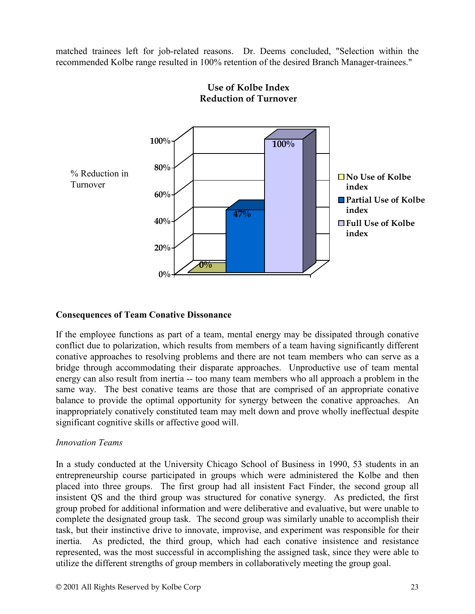matched trainees left for job-related reasons. Dr. Deems concluded, "Selection within the recommended Kolbe range resulted in 100% retention of the desired Branch Manager-trainees."





#### Consequences of Team Conative Dissonance

If the employee functions as part of a team, mental energy may be dissipated through conative conflict due to polarization, which results from members of a team having significantly different conative approaches to resolving problems and there are not team members who can serve as a bridge through accommodating their disparate approaches. Unproductive use of team mental energy can also result from inertia -- too many team members who all approach a problem in the same way. The best conative teams are those that are comprised of an appropriate conative balance to provide the optimal opportunity for synergy between the conative approaches. An inappropriately conatively constituted team may melt down and prove wholly ineffectual despite significant cognitive skills or affective good will.

#### Innovation Teams

In a study conducted at the University Chicago School of Business in 1990, 53 students in an entrepreneurship course participated in groups which were administered the Kolbe and then placed into three groups. The first group had all insistent Fact Finder, the second group all insistent QS and the third group was structured for conative synergy. As predicted, the first group probed for additional information and were deliberative and evaluative, but were unable to complete the designated group task. The second group was similarly unable to accomplish their task, but their instinctive drive to innovate, improvise, and experiment was responsible for their inertia. As predicted, the third group, which had each conative insistence and resistance represented, was the most successful in accomplishing the assigned task, since they were able to utilize the different strengths of group members in collaboratively meeting the group goal.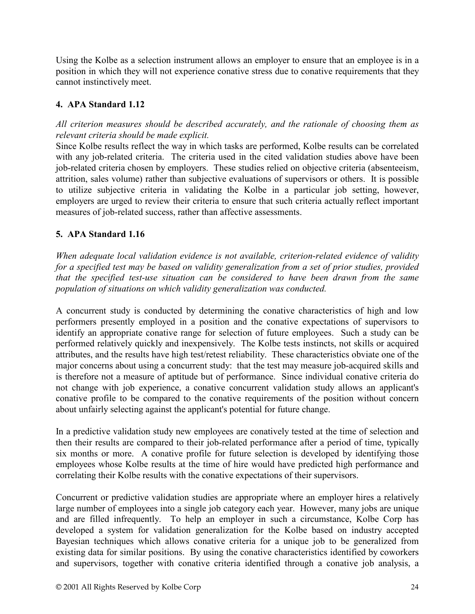Using the Kolbe as a selection instrument allows an employer to ensure that an employee is in a position in which they will not experience conative stress due to conative requirements that they cannot instinctively meet.

### 4. APA Standard 1.12

All criterion measures should be described accurately, and the rationale of choosing them as relevant criteria should be made explicit.

Since Kolbe results reflect the way in which tasks are performed, Kolbe results can be correlated with any job-related criteria. The criteria used in the cited validation studies above have been job-related criteria chosen by employers. These studies relied on objective criteria (absenteeism, attrition, sales volume) rather than subjective evaluations of supervisors or others. It is possible to utilize subjective criteria in validating the Kolbe in a particular job setting, however, employers are urged to review their criteria to ensure that such criteria actually reflect important measures of job-related success, rather than affective assessments.

### 5. APA Standard 1.16

When adequate local validation evidence is not available, criterion-related evidence of validity for a specified test may be based on validity generalization from a set of prior studies, provided that the specified test-use situation can be considered to have been drawn from the same population of situations on which validity generalization was conducted.

A concurrent study is conducted by determining the conative characteristics of high and low performers presently employed in a position and the conative expectations of supervisors to identify an appropriate conative range for selection of future employees. Such a study can be performed relatively quickly and inexpensively. The Kolbe tests instincts, not skills or acquired attributes, and the results have high test/retest reliability. These characteristics obviate one of the major concerns about using a concurrent study: that the test may measure job-acquired skills and is therefore not a measure of aptitude but of performance. Since individual conative criteria do not change with job experience, a conative concurrent validation study allows an applicant's conative profile to be compared to the conative requirements of the position without concern about unfairly selecting against the applicant's potential for future change.

In a predictive validation study new employees are conatively tested at the time of selection and then their results are compared to their job-related performance after a period of time, typically six months or more. A conative profile for future selection is developed by identifying those employees whose Kolbe results at the time of hire would have predicted high performance and correlating their Kolbe results with the conative expectations of their supervisors.

Concurrent or predictive validation studies are appropriate where an employer hires a relatively large number of employees into a single job category each year. However, many jobs are unique and are filled infrequently. To help an employer in such a circumstance, Kolbe Corp has developed a system for validation generalization for the Kolbe based on industry accepted Bayesian techniques which allows conative criteria for a unique job to be generalized from existing data for similar positions. By using the conative characteristics identified by coworkers and supervisors, together with conative criteria identified through a conative job analysis, a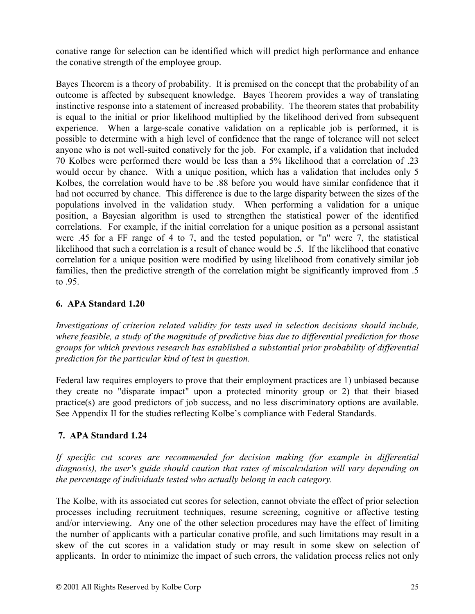conative range for selection can be identified which will predict high performance and enhance the conative strength of the employee group.

Bayes Theorem is a theory of probability. It is premised on the concept that the probability of an outcome is affected by subsequent knowledge. Bayes Theorem provides a way of translating instinctive response into a statement of increased probability. The theorem states that probability is equal to the initial or prior likelihood multiplied by the likelihood derived from subsequent experience. When a large-scale conative validation on a replicable job is performed, it is possible to determine with a high level of confidence that the range of tolerance will not select anyone who is not well-suited conatively for the job. For example, if a validation that included 70 Kolbes were performed there would be less than a 5% likelihood that a correlation of .23 would occur by chance. With a unique position, which has a validation that includes only 5 Kolbes, the correlation would have to be .88 before you would have similar confidence that it had not occurred by chance. This difference is due to the large disparity between the sizes of the populations involved in the validation study. When performing a validation for a unique position, a Bayesian algorithm is used to strengthen the statistical power of the identified correlations. For example, if the initial correlation for a unique position as a personal assistant were .45 for a FF range of 4 to 7, and the tested population, or "n" were 7, the statistical likelihood that such a correlation is a result of chance would be .5. If the likelihood that conative correlation for a unique position were modified by using likelihood from conatively similar job families, then the predictive strength of the correlation might be significantly improved from .5 to .95.

#### 6. APA Standard 1.20

Investigations of criterion related validity for tests used in selection decisions should include, where feasible, a study of the magnitude of predictive bias due to differential prediction for those groups for which previous research has established a substantial prior probability of differential prediction for the particular kind of test in question.

Federal law requires employers to prove that their employment practices are 1) unbiased because they create no "disparate impact" upon a protected minority group or 2) that their biased practice(s) are good predictors of job success, and no less discriminatory options are available. See Appendix II for the studies reflecting Kolbe's compliance with Federal Standards.

#### 7. APA Standard 1.24

If specific cut scores are recommended for decision making (for example in differential diagnosis), the user's guide should caution that rates of miscalculation will vary depending on the percentage of individuals tested who actually belong in each category.

The Kolbe, with its associated cut scores for selection, cannot obviate the effect of prior selection processes including recruitment techniques, resume screening, cognitive or affective testing and/or interviewing. Any one of the other selection procedures may have the effect of limiting the number of applicants with a particular conative profile, and such limitations may result in a skew of the cut scores in a validation study or may result in some skew on selection of applicants. In order to minimize the impact of such errors, the validation process relies not only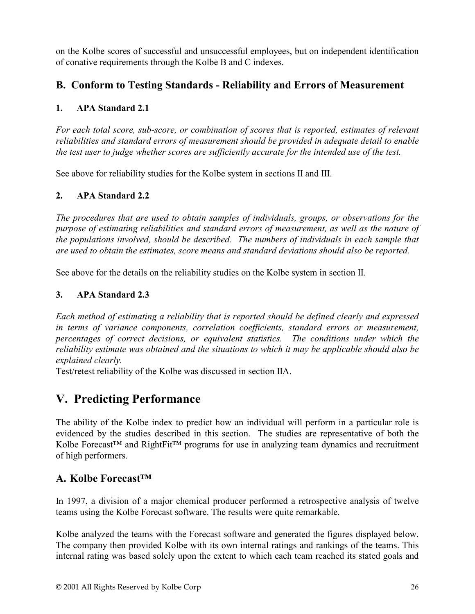on the Kolbe scores of successful and unsuccessful employees, but on independent identification of conative requirements through the Kolbe B and C indexes.

### B. Conform to Testing Standards - Reliability and Errors of Measurement

### 1. APA Standard 2.1

For each total score, sub-score, or combination of scores that is reported, estimates of relevant reliabilities and standard errors of measurement should be provided in adequate detail to enable the test user to judge whether scores are sufficiently accurate for the intended use of the test.

See above for reliability studies for the Kolbe system in sections II and III.

### 2. APA Standard 2.2

The procedures that are used to obtain samples of individuals, groups, or observations for the purpose of estimating reliabilities and standard errors of measurement, as well as the nature of the populations involved, should be described. The numbers of individuals in each sample that are used to obtain the estimates, score means and standard deviations should also be reported.

See above for the details on the reliability studies on the Kolbe system in section II.

### 3. APA Standard 2.3

Each method of estimating a reliability that is reported should be defined clearly and expressed in terms of variance components, correlation coefficients, standard errors or measurement, percentages of correct decisions, or equivalent statistics. The conditions under which the reliability estimate was obtained and the situations to which it may be applicable should also be explained clearly.

Test/retest reliability of the Kolbe was discussed in section IIA.

## V. Predicting Performance

The ability of the Kolbe index to predict how an individual will perform in a particular role is evidenced by the studies described in this section. The studies are representative of both the Kolbe Forecast<sup>™</sup> and RightFit™ programs for use in analyzing team dynamics and recruitment of high performers.

### A. Kolbe Forecast™

In 1997, a division of a major chemical producer performed a retrospective analysis of twelve teams using the Kolbe Forecast software. The results were quite remarkable.

Kolbe analyzed the teams with the Forecast software and generated the figures displayed below. The company then provided Kolbe with its own internal ratings and rankings of the teams. This internal rating was based solely upon the extent to which each team reached its stated goals and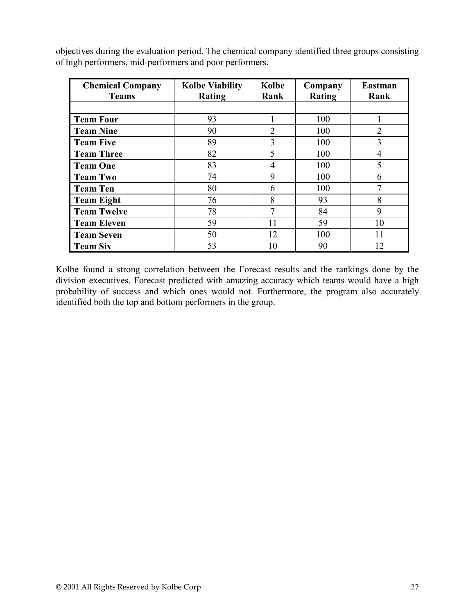| <b>Chemical Company</b><br><b>Teams</b> | <b>Kolbe Viability</b><br><b>Rating</b> | Kolbe<br>Rank  | Company<br>Rating | <b>Eastman</b><br>Rank |
|-----------------------------------------|-----------------------------------------|----------------|-------------------|------------------------|
|                                         |                                         |                |                   |                        |
| <b>Team Four</b>                        | 93                                      |                | 100               |                        |
| <b>Team Nine</b>                        | 90                                      | $\overline{2}$ | 100               | $\overline{2}$         |
| <b>Team Five</b>                        | 89                                      | 3              | 100               | 3                      |
| <b>Team Three</b>                       | 82                                      | 5              | 100               | $\overline{4}$         |
| <b>Team One</b>                         | 83                                      | 4              | 100               | 5                      |
| <b>Team Two</b>                         | 74                                      | 9              | 100               | 6                      |
| <b>Team Ten</b>                         | 80                                      | 6              | 100               | 7                      |
| <b>Team Eight</b>                       | 76                                      | 8              | 93                | 8                      |
| <b>Team Twelve</b>                      | 78                                      | 7              | 84                | 9                      |
| <b>Team Eleven</b>                      | 59                                      | 11             | 59                | 10                     |
| <b>Team Seven</b>                       | 50                                      | 12             | 100               | 11                     |
| <b>Team Six</b>                         | 53                                      | 10             | 90                | 12                     |

objectives during the evaluation period. The chemical company identified three groups consisting of high performers, mid-performers and poor performers.

Kolbe found a strong correlation between the Forecast results and the rankings done by the division executives. Forecast predicted with amazing accuracy which teams would have a high probability of success and which ones would not. Furthermore, the program also accurately identified both the top and bottom performers in the group.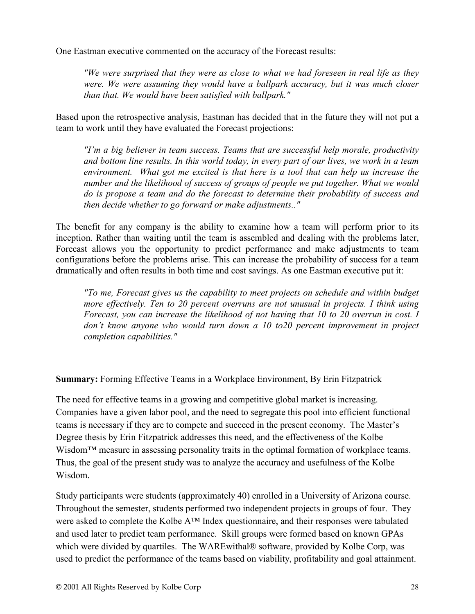One Eastman executive commented on the accuracy of the Forecast results:

"We were surprised that they were as close to what we had foreseen in real life as they were. We were assuming they would have a ballpark accuracy, but it was much closer than that. We would have been satisfied with ballpark."

Based upon the retrospective analysis, Eastman has decided that in the future they will not put a team to work until they have evaluated the Forecast projections:

"I'm a big believer in team success. Teams that are successful help morale, productivity and bottom line results. In this world today, in every part of our lives, we work in a team environment. What got me excited is that here is a tool that can help us increase the number and the likelihood of success of groups of people we put together. What we would do is propose a team and do the forecast to determine their probability of success and then decide whether to go forward or make adjustments.."

The benefit for any company is the ability to examine how a team will perform prior to its inception. Rather than waiting until the team is assembled and dealing with the problems later, Forecast allows you the opportunity to predict performance and make adjustments to team configurations before the problems arise. This can increase the probability of success for a team dramatically and often results in both time and cost savings. As one Eastman executive put it:

"To me, Forecast gives us the capability to meet projects on schedule and within budget more effectively. Ten to 20 percent overruns are not unusual in projects. I think using Forecast, you can increase the likelihood of not having that 10 to 20 overrun in cost. I don't know anyone who would turn down a 10 to20 percent improvement in project completion capabilities."

#### Summary: Forming Effective Teams in a Workplace Environment, By Erin Fitzpatrick

The need for effective teams in a growing and competitive global market is increasing. Companies have a given labor pool, and the need to segregate this pool into efficient functional teams is necessary if they are to compete and succeed in the present economy. The Master's Degree thesis by Erin Fitzpatrick addresses this need, and the effectiveness of the Kolbe Wisdom™ measure in assessing personality traits in the optimal formation of workplace teams. Thus, the goal of the present study was to analyze the accuracy and usefulness of the Kolbe Wisdom.

Study participants were students (approximately 40) enrolled in a University of Arizona course. Throughout the semester, students performed two independent projects in groups of four. They were asked to complete the Kolbe A™ Index questionnaire, and their responses were tabulated and used later to predict team performance. Skill groups were formed based on known GPAs which were divided by quartiles. The WAREwithal® software, provided by Kolbe Corp, was used to predict the performance of the teams based on viability, profitability and goal attainment.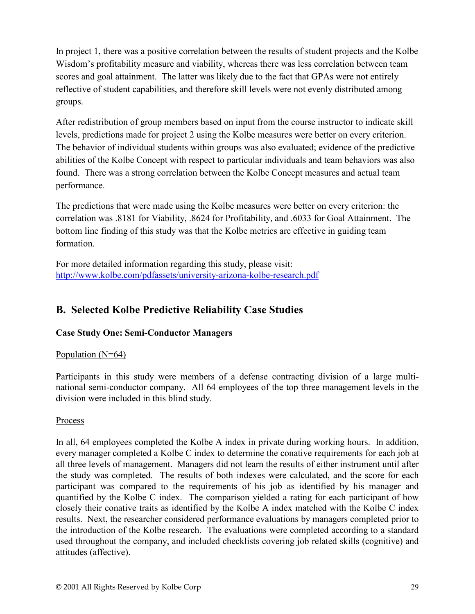In project 1, there was a positive correlation between the results of student projects and the Kolbe Wisdom's profitability measure and viability, whereas there was less correlation between team scores and goal attainment. The latter was likely due to the fact that GPAs were not entirely reflective of student capabilities, and therefore skill levels were not evenly distributed among groups.

After redistribution of group members based on input from the course instructor to indicate skill levels, predictions made for project 2 using the Kolbe measures were better on every criterion. The behavior of individual students within groups was also evaluated; evidence of the predictive abilities of the Kolbe Concept with respect to particular individuals and team behaviors was also found. There was a strong correlation between the Kolbe Concept measures and actual team performance.

The predictions that were made using the Kolbe measures were better on every criterion: the correlation was .8181 for Viability, .8624 for Profitability, and .6033 for Goal Attainment. The bottom line finding of this study was that the Kolbe metrics are effective in guiding team formation.

For more detailed information regarding this study, please visit: http://www.kolbe.com/pdfassets/university-arizona-kolbe-research.pdf

### B. Selected Kolbe Predictive Reliability Case Studies

#### Case Study One: Semi-Conductor Managers

#### Population (N=64)

Participants in this study were members of a defense contracting division of a large multinational semi-conductor company. All 64 employees of the top three management levels in the division were included in this blind study.

#### Process

In all, 64 employees completed the Kolbe A index in private during working hours. In addition, every manager completed a Kolbe C index to determine the conative requirements for each job at all three levels of management. Managers did not learn the results of either instrument until after the study was completed. The results of both indexes were calculated, and the score for each participant was compared to the requirements of his job as identified by his manager and quantified by the Kolbe C index. The comparison yielded a rating for each participant of how closely their conative traits as identified by the Kolbe A index matched with the Kolbe C index results. Next, the researcher considered performance evaluations by managers completed prior to the introduction of the Kolbe research. The evaluations were completed according to a standard used throughout the company, and included checklists covering job related skills (cognitive) and attitudes (affective).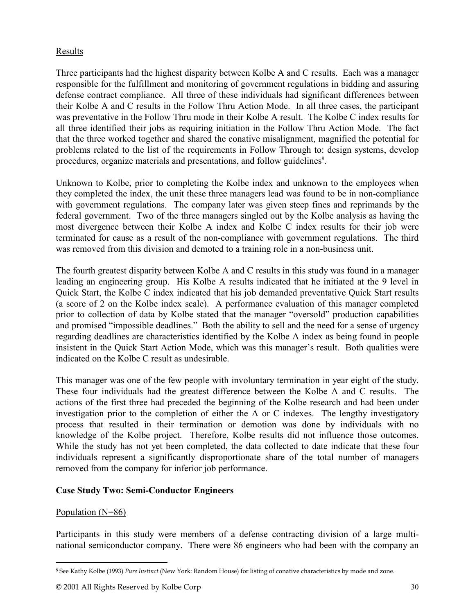#### Results

Three participants had the highest disparity between Kolbe A and C results. Each was a manager responsible for the fulfillment and monitoring of government regulations in bidding and assuring defense contract compliance. All three of these individuals had significant differences between their Kolbe A and C results in the Follow Thru Action Mode. In all three cases, the participant was preventative in the Follow Thru mode in their Kolbe A result. The Kolbe C index results for all three identified their jobs as requiring initiation in the Follow Thru Action Mode. The fact that the three worked together and shared the conative misalignment, magnified the potential for problems related to the list of the requirements in Follow Through to: design systems, develop procedures, organize materials and presentations, and follow guidelines<sup>8</sup>.

Unknown to Kolbe, prior to completing the Kolbe index and unknown to the employees when they completed the index, the unit these three managers lead was found to be in non-compliance with government regulations. The company later was given steep fines and reprimands by the federal government. Two of the three managers singled out by the Kolbe analysis as having the most divergence between their Kolbe A index and Kolbe C index results for their job were terminated for cause as a result of the non-compliance with government regulations. The third was removed from this division and demoted to a training role in a non-business unit.

The fourth greatest disparity between Kolbe A and C results in this study was found in a manager leading an engineering group. His Kolbe A results indicated that he initiated at the 9 level in Quick Start, the Kolbe C index indicated that his job demanded preventative Quick Start results (a score of 2 on the Kolbe index scale). A performance evaluation of this manager completed prior to collection of data by Kolbe stated that the manager "oversold" production capabilities and promised "impossible deadlines." Both the ability to sell and the need for a sense of urgency regarding deadlines are characteristics identified by the Kolbe A index as being found in people insistent in the Quick Start Action Mode, which was this manager's result. Both qualities were indicated on the Kolbe C result as undesirable.

This manager was one of the few people with involuntary termination in year eight of the study. These four individuals had the greatest difference between the Kolbe A and C results. The actions of the first three had preceded the beginning of the Kolbe research and had been under investigation prior to the completion of either the A or C indexes. The lengthy investigatory process that resulted in their termination or demotion was done by individuals with no knowledge of the Kolbe project. Therefore, Kolbe results did not influence those outcomes. While the study has not yet been completed, the data collected to date indicate that these four individuals represent a significantly disproportionate share of the total number of managers removed from the company for inferior job performance.

#### Case Study Two: Semi-Conductor Engineers

#### Population (N=86)

Participants in this study were members of a defense contracting division of a large multinational semiconductor company. There were 86 engineers who had been with the company an

<sup>-</sup>8 See Kathy Kolbe (1993) Pure Instinct (New York: Random House) for listing of conative characteristics by mode and zone.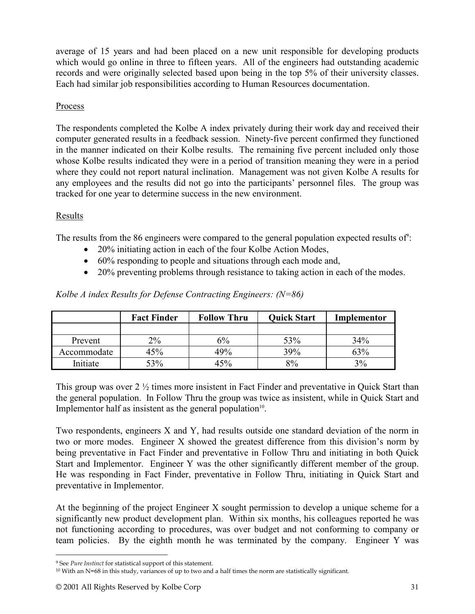average of 15 years and had been placed on a new unit responsible for developing products which would go online in three to fifteen years. All of the engineers had outstanding academic records and were originally selected based upon being in the top 5% of their university classes. Each had similar job responsibilities according to Human Resources documentation.

#### Process

The respondents completed the Kolbe A index privately during their work day and received their computer generated results in a feedback session. Ninety-five percent confirmed they functioned in the manner indicated on their Kolbe results. The remaining five percent included only those whose Kolbe results indicated they were in a period of transition meaning they were in a period where they could not report natural inclination. Management was not given Kolbe A results for any employees and the results did not go into the participants' personnel files. The group was tracked for one year to determine success in the new environment.

#### Results

The results from the 86 engineers were compared to the general population expected results of $\degree$ :

- 20% initiating action in each of the four Kolbe Action Modes,
- 60% responding to people and situations through each mode and,
- 20% preventing problems through resistance to taking action in each of the modes.

|             | <b>Fact Finder</b> | <b>Follow Thru</b> | <b>Quick Start</b> | Implementor |
|-------------|--------------------|--------------------|--------------------|-------------|
|             |                    |                    |                    |             |
| Prevent     | 2%                 | 6%                 | 53%                | 34%         |
| Accommodate | 45%                | 49%                | 39%                | 63%         |
| Initiate    | 53%                | 45%                | 8%                 | 3%          |

Kolbe A index Results for Defense Contracting Engineers:  $(N=86)$ 

This group was over  $2\frac{1}{2}$  times more insistent in Fact Finder and preventative in Ouick Start than the general population. In Follow Thru the group was twice as insistent, while in Quick Start and Implementor half as insistent as the general population $10$ .

Two respondents, engineers X and Y, had results outside one standard deviation of the norm in two or more modes. Engineer X showed the greatest difference from this division's norm by being preventative in Fact Finder and preventative in Follow Thru and initiating in both Quick Start and Implementor. Engineer Y was the other significantly different member of the group. He was responding in Fact Finder, preventative in Follow Thru, initiating in Quick Start and preventative in Implementor.

At the beginning of the project Engineer X sought permission to develop a unique scheme for a significantly new product development plan. Within six months, his colleagues reported he was not functioning according to procedures, was over budget and not conforming to company or team policies. By the eighth month he was terminated by the company. Engineer Y was

l <sup>9</sup> See Pure Instinct for statistical support of this statement.

<sup>10</sup> With an N=68 in this study, variances of up to two and a half times the norm are statistically significant.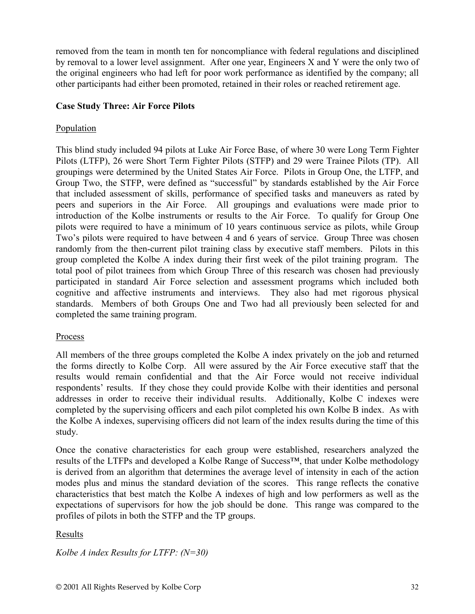removed from the team in month ten for noncompliance with federal regulations and disciplined by removal to a lower level assignment. After one year, Engineers X and Y were the only two of the original engineers who had left for poor work performance as identified by the company; all other participants had either been promoted, retained in their roles or reached retirement age.

#### Case Study Three: Air Force Pilots

#### Population

This blind study included 94 pilots at Luke Air Force Base, of where 30 were Long Term Fighter Pilots (LTFP), 26 were Short Term Fighter Pilots (STFP) and 29 were Trainee Pilots (TP). All groupings were determined by the United States Air Force. Pilots in Group One, the LTFP, and Group Two, the STFP, were defined as "successful" by standards established by the Air Force that included assessment of skills, performance of specified tasks and maneuvers as rated by peers and superiors in the Air Force. All groupings and evaluations were made prior to introduction of the Kolbe instruments or results to the Air Force. To qualify for Group One pilots were required to have a minimum of 10 years continuous service as pilots, while Group Two's pilots were required to have between 4 and 6 years of service. Group Three was chosen randomly from the then-current pilot training class by executive staff members. Pilots in this group completed the Kolbe A index during their first week of the pilot training program. The total pool of pilot trainees from which Group Three of this research was chosen had previously participated in standard Air Force selection and assessment programs which included both cognitive and affective instruments and interviews. They also had met rigorous physical standards. Members of both Groups One and Two had all previously been selected for and completed the same training program.

#### Process

All members of the three groups completed the Kolbe A index privately on the job and returned the forms directly to Kolbe Corp. All were assured by the Air Force executive staff that the results would remain confidential and that the Air Force would not receive individual respondents' results. If they chose they could provide Kolbe with their identities and personal addresses in order to receive their individual results. Additionally, Kolbe C indexes were completed by the supervising officers and each pilot completed his own Kolbe B index. As with the Kolbe A indexes, supervising officers did not learn of the index results during the time of this study.

Once the conative characteristics for each group were established, researchers analyzed the results of the LTFPs and developed a Kolbe Range of Success™, that under Kolbe methodology is derived from an algorithm that determines the average level of intensity in each of the action modes plus and minus the standard deviation of the scores. This range reflects the conative characteristics that best match the Kolbe A indexes of high and low performers as well as the expectations of supervisors for how the job should be done. This range was compared to the profiles of pilots in both the STFP and the TP groups.

#### Results

#### Kolbe A index Results for LTFP:  $(N=30)$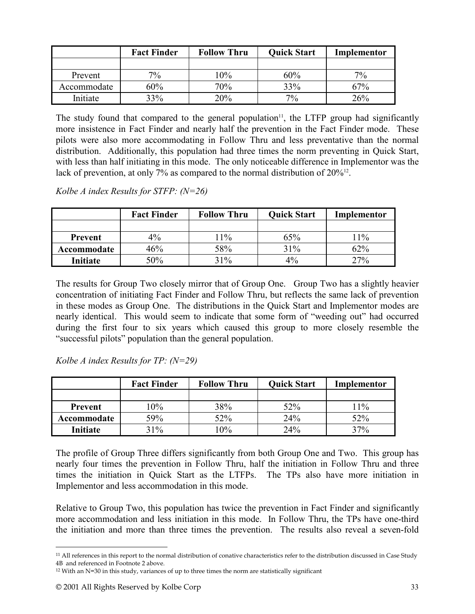|             | <b>Fact Finder</b> | <b>Follow Thru</b> | <b>Quick Start</b> | Implementor |
|-------------|--------------------|--------------------|--------------------|-------------|
|             |                    |                    |                    |             |
| Prevent     | $7\%$              | 10%                | 60%                | 7%          |
| Accommodate | 60%                | 70%                | 33%                | 67%         |
| Initiate    | 33%                | 20%                | 7%                 | 26%         |

The study found that compared to the general population<sup>11</sup>, the LTFP group had significantly more insistence in Fact Finder and nearly half the prevention in the Fact Finder mode. These pilots were also more accommodating in Follow Thru and less preventative than the normal distribution. Additionally, this population had three times the norm preventing in Quick Start, with less than half initiating in this mode. The only noticeable difference in Implementor was the lack of prevention, at only 7% as compared to the normal distribution of 20%<sup>12</sup>.

Kolbe A index Results for STFP:  $(N=26)$ 

|                | <b>Fact Finder</b> | <b>Follow Thru</b> | <b>Quick Start</b> | Implementor |
|----------------|--------------------|--------------------|--------------------|-------------|
|                |                    |                    |                    |             |
| <b>Prevent</b> | $4\%$              | 11%                | 65%                | 11%         |
| Accommodate    | 46%                | 58%                | 31%                | 62%         |
| Initiate       | 50%                | 31%                | $4\%$              | $27\%$      |

The results for Group Two closely mirror that of Group One. Group Two has a slightly heavier concentration of initiating Fact Finder and Follow Thru, but reflects the same lack of prevention in these modes as Group One. The distributions in the Quick Start and Implementor modes are nearly identical. This would seem to indicate that some form of "weeding out" had occurred during the first four to six years which caused this group to more closely resemble the "successful pilots" population than the general population.

Kolbe A index Results for  $TP: (N=29)$ 

|                | <b>Fact Finder</b> | <b>Follow Thru</b> | <b>Quick Start</b> | Implementor |
|----------------|--------------------|--------------------|--------------------|-------------|
|                |                    |                    |                    |             |
| <b>Prevent</b> | $10\%$             | 38%                | 52%                | 11%         |
| Accommodate    | 59%                | 52%                | 24%                | 52%         |
| Initiate       | 31%                | 10%                | 24%                | 37%         |

The profile of Group Three differs significantly from both Group One and Two. This group has nearly four times the prevention in Follow Thru, half the initiation in Follow Thru and three times the initiation in Quick Start as the LTFPs. The TPs also have more initiation in Implementor and less accommodation in this mode.

Relative to Group Two, this population has twice the prevention in Fact Finder and significantly more accommodation and less initiation in this mode. In Follow Thru, the TPs have one-third the initiation and more than three times the prevention. The results also reveal a seven-fold

<sup>-</sup><sup>11</sup> All references in this report to the normal distribution of conative characteristics refer to the distribution discussed in Case Study 4B and referenced in Footnote 2 above.

 $12$  With an N=30 in this study, variances of up to three times the norm are statistically significant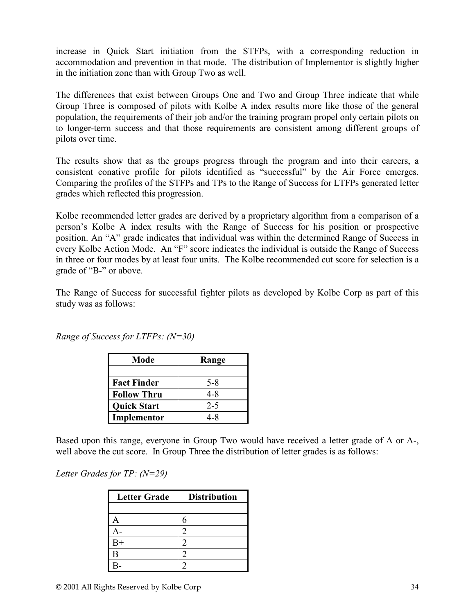increase in Quick Start initiation from the STFPs, with a corresponding reduction in accommodation and prevention in that mode. The distribution of Implementor is slightly higher in the initiation zone than with Group Two as well.

The differences that exist between Groups One and Two and Group Three indicate that while Group Three is composed of pilots with Kolbe A index results more like those of the general population, the requirements of their job and/or the training program propel only certain pilots on to longer-term success and that those requirements are consistent among different groups of pilots over time.

The results show that as the groups progress through the program and into their careers, a consistent conative profile for pilots identified as "successful" by the Air Force emerges. Comparing the profiles of the STFPs and TPs to the Range of Success for LTFPs generated letter grades which reflected this progression.

Kolbe recommended letter grades are derived by a proprietary algorithm from a comparison of a person's Kolbe A index results with the Range of Success for his position or prospective position. An "A" grade indicates that individual was within the determined Range of Success in every Kolbe Action Mode. An "F" score indicates the individual is outside the Range of Success in three or four modes by at least four units. The Kolbe recommended cut score for selection is a grade of "B-" or above.

The Range of Success for successful fighter pilots as developed by Kolbe Corp as part of this study was as follows:

Range of Success for LTFPs:  $(N=30)$ 

| Mode               | Range   |
|--------------------|---------|
|                    |         |
| <b>Fact Finder</b> | 5-8     |
| <b>Follow Thru</b> | 4-8     |
| <b>Quick Start</b> | $2 - 5$ |
| Implementor        | 4-8     |

Based upon this range, everyone in Group Two would have received a letter grade of A or A-, well above the cut score. In Group Three the distribution of letter grades is as follows:

Letter Grades for TP: (N=29)

| <b>Letter Grade</b> | <b>Distribution</b> |
|---------------------|---------------------|
|                     |                     |
|                     | ŕ                   |
|                     | 2                   |
| R+                  | 2                   |
|                     | 2                   |
|                     |                     |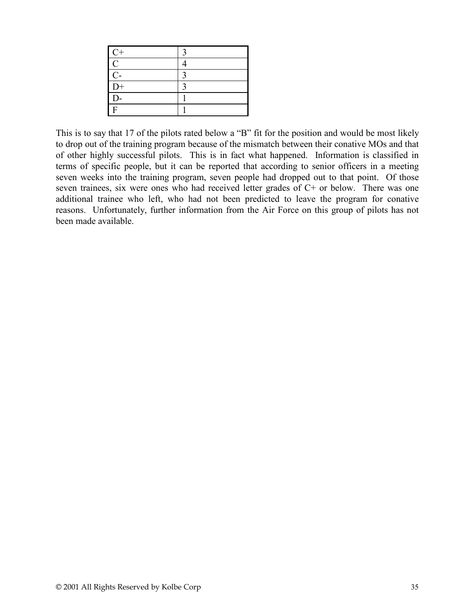| $C+$              |  |
|-------------------|--|
| $\overline{C}$    |  |
| $\underline{C}$ - |  |
| $D+$              |  |
| $\overline{D}$    |  |
| $\overline{E}$    |  |

This is to say that 17 of the pilots rated below a "B" fit for the position and would be most likely to drop out of the training program because of the mismatch between their conative MOs and that of other highly successful pilots. This is in fact what happened. Information is classified in terms of specific people, but it can be reported that according to senior officers in a meeting seven weeks into the training program, seven people had dropped out to that point. Of those seven trainees, six were ones who had received letter grades of C+ or below. There was one additional trainee who left, who had not been predicted to leave the program for conative reasons. Unfortunately, further information from the Air Force on this group of pilots has not been made available.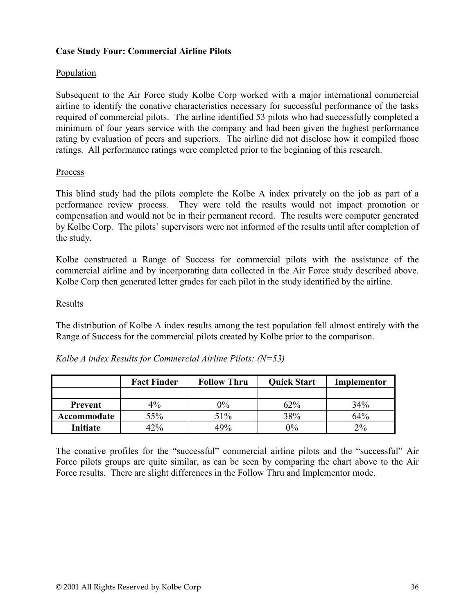#### Case Study Four: Commercial Airline Pilots

#### Population

Subsequent to the Air Force study Kolbe Corp worked with a major international commercial airline to identify the conative characteristics necessary for successful performance of the tasks required of commercial pilots. The airline identified 53 pilots who had successfully completed a minimum of four years service with the company and had been given the highest performance rating by evaluation of peers and superiors. The airline did not disclose how it compiled those ratings. All performance ratings were completed prior to the beginning of this research.

#### Process

This blind study had the pilots complete the Kolbe A index privately on the job as part of a performance review process. They were told the results would not impact promotion or compensation and would not be in their permanent record. The results were computer generated by Kolbe Corp. The pilots' supervisors were not informed of the results until after completion of the study.

Kolbe constructed a Range of Success for commercial pilots with the assistance of the commercial airline and by incorporating data collected in the Air Force study described above. Kolbe Corp then generated letter grades for each pilot in the study identified by the airline.

#### Results

The distribution of Kolbe A index results among the test population fell almost entirely with the Range of Success for the commercial pilots created by Kolbe prior to the comparison.

|             | <b>Fact Finder</b> | <b>Follow Thru</b> | <b>Quick Start</b> | Implementor |
|-------------|--------------------|--------------------|--------------------|-------------|
|             |                    |                    |                    |             |
| Prevent     | 4%                 | $0\%$              | 62%                | 34%         |
| Accommodate | 55%                | 51%                | 38%                | 64%         |
| Initiate    | 42%                | 49%                | $0\%$              | $2\%$       |

Kolbe A index Results for Commercial Airline Pilots:  $(N=53)$ 

The conative profiles for the "successful" commercial airline pilots and the "successful" Air Force pilots groups are quite similar, as can be seen by comparing the chart above to the Air Force results. There are slight differences in the Follow Thru and Implementor mode.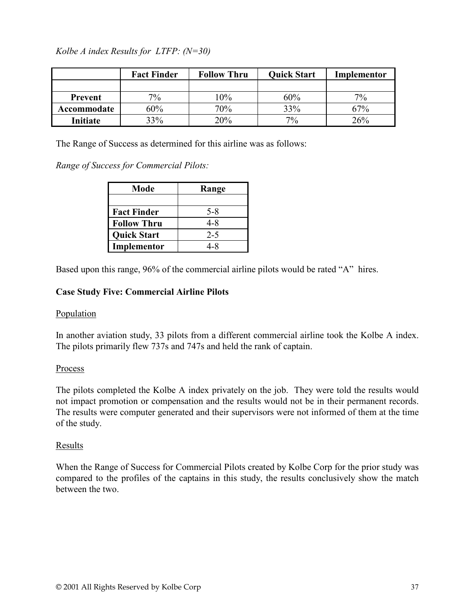|                | <b>Fact Finder</b> | <b>Follow Thru</b> | <b>Quick Start</b> | Implementor |
|----------------|--------------------|--------------------|--------------------|-------------|
|                |                    |                    |                    |             |
| <b>Prevent</b> | $7\%$              | 10%                | 60%                | 7%          |
| Accommodate    | 60%                | 70%                | 33%                | 67%         |
| Initiate       | 33%                | <b>20%</b>         | 7%                 | 26%         |

Kolbe A index Results for LTFP:  $(N=30)$ 

The Range of Success as determined for this airline was as follows:

Range of Success for Commercial Pilots:

| Mode               | Range   |
|--------------------|---------|
|                    |         |
| <b>Fact Finder</b> | $5 - 8$ |
| <b>Follow Thru</b> | 4-8     |
| <b>Quick Start</b> | $2 - 5$ |
| Implementor        | 1-8     |

Based upon this range, 96% of the commercial airline pilots would be rated "A" hires.

#### Case Study Five: Commercial Airline Pilots

#### Population

In another aviation study, 33 pilots from a different commercial airline took the Kolbe A index. The pilots primarily flew 737s and 747s and held the rank of captain.

#### Process

The pilots completed the Kolbe A index privately on the job. They were told the results would not impact promotion or compensation and the results would not be in their permanent records. The results were computer generated and their supervisors were not informed of them at the time of the study.

#### Results

When the Range of Success for Commercial Pilots created by Kolbe Corp for the prior study was compared to the profiles of the captains in this study, the results conclusively show the match between the two.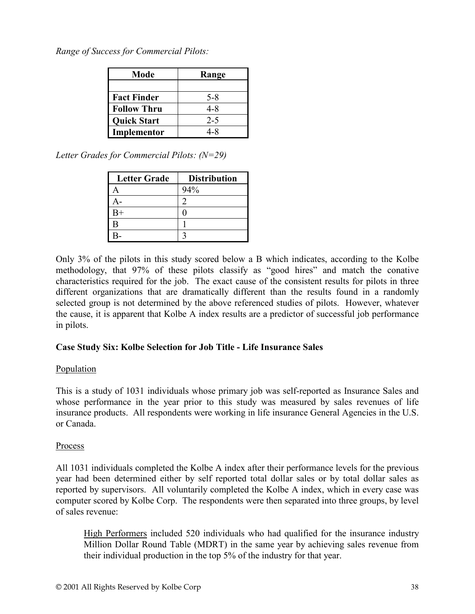Range of Success for Commercial Pilots:

| Mode               | Range   |
|--------------------|---------|
|                    |         |
| <b>Fact Finder</b> | 5-8     |
| <b>Follow Thru</b> | 4-8     |
| <b>Quick Start</b> | $2 - 5$ |
| Implementor        | 4-8     |

Letter Grades for Commercial Pilots: (N=29)

| <b>Letter Grade</b> | <b>Distribution</b> |
|---------------------|---------------------|
|                     | 94%                 |
|                     |                     |
| B+                  |                     |
| R                   |                     |
|                     |                     |

Only 3% of the pilots in this study scored below a B which indicates, according to the Kolbe methodology, that 97% of these pilots classify as "good hires" and match the conative characteristics required for the job. The exact cause of the consistent results for pilots in three different organizations that are dramatically different than the results found in a randomly selected group is not determined by the above referenced studies of pilots. However, whatever the cause, it is apparent that Kolbe A index results are a predictor of successful job performance in pilots.

#### Case Study Six: Kolbe Selection for Job Title - Life Insurance Sales

#### Population

This is a study of 1031 individuals whose primary job was self-reported as Insurance Sales and whose performance in the year prior to this study was measured by sales revenues of life insurance products. All respondents were working in life insurance General Agencies in the U.S. or Canada.

#### Process

All 1031 individuals completed the Kolbe A index after their performance levels for the previous year had been determined either by self reported total dollar sales or by total dollar sales as reported by supervisors. All voluntarily completed the Kolbe A index, which in every case was computer scored by Kolbe Corp. The respondents were then separated into three groups, by level of sales revenue:

High Performers included 520 individuals who had qualified for the insurance industry Million Dollar Round Table (MDRT) in the same year by achieving sales revenue from their individual production in the top 5% of the industry for that year.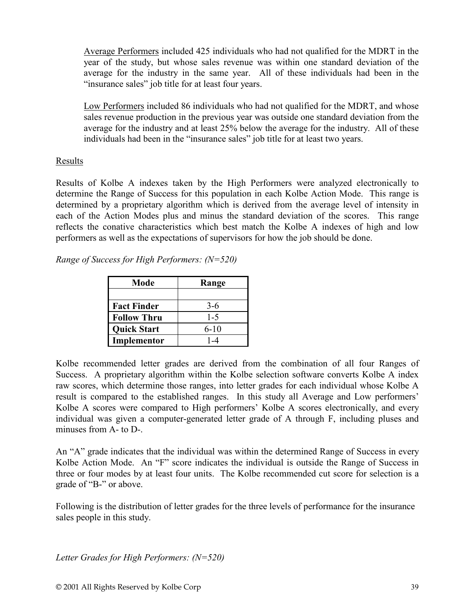Average Performers included 425 individuals who had not qualified for the MDRT in the year of the study, but whose sales revenue was within one standard deviation of the average for the industry in the same year. All of these individuals had been in the "insurance sales" job title for at least four years.

Low Performers included 86 individuals who had not qualified for the MDRT, and whose sales revenue production in the previous year was outside one standard deviation from the average for the industry and at least 25% below the average for the industry. All of these individuals had been in the "insurance sales" job title for at least two years.

#### Results

Results of Kolbe A indexes taken by the High Performers were analyzed electronically to determine the Range of Success for this population in each Kolbe Action Mode. This range is determined by a proprietary algorithm which is derived from the average level of intensity in each of the Action Modes plus and minus the standard deviation of the scores. This range reflects the conative characteristics which best match the Kolbe A indexes of high and low performers as well as the expectations of supervisors for how the job should be done.

Range of Success for High Performers: (N=520)

| Mode               | Range    |
|--------------------|----------|
|                    |          |
| <b>Fact Finder</b> | $3-6$    |
| <b>Follow Thru</b> | $1 - 5$  |
| <b>Quick Start</b> | $6 - 10$ |
| Implementor        | 1-4      |

Kolbe recommended letter grades are derived from the combination of all four Ranges of Success. A proprietary algorithm within the Kolbe selection software converts Kolbe A index raw scores, which determine those ranges, into letter grades for each individual whose Kolbe A result is compared to the established ranges. In this study all Average and Low performers' Kolbe A scores were compared to High performers' Kolbe A scores electronically, and every individual was given a computer-generated letter grade of A through F, including pluses and minuses from A- to D-.

An "A" grade indicates that the individual was within the determined Range of Success in every Kolbe Action Mode. An "F" score indicates the individual is outside the Range of Success in three or four modes by at least four units. The Kolbe recommended cut score for selection is a grade of "B-" or above.

Following is the distribution of letter grades for the three levels of performance for the insurance sales people in this study.

Letter Grades for High Performers: (N=520)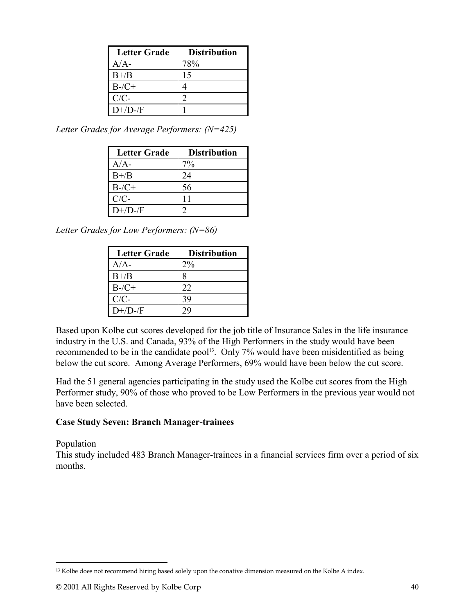| <b>Letter Grade</b> | <b>Distribution</b> |
|---------------------|---------------------|
| $A/A-$              | 78%                 |
| $B+/B$              | 15                  |
| $B$ -/C+            |                     |
| $C/C-$              |                     |
| $D+/D-/F$           |                     |

Letter Grades for Average Performers: (N=425)

| <b>Letter Grade</b> | <b>Distribution</b> |
|---------------------|---------------------|
| $A/A-$              | 7%                  |
| $B+/B$              | 24                  |
| $B$ -/ $C+$         | 56                  |
| $C/C-$              | 11                  |
| $D+/D-/F$           |                     |

Letter Grades for Low Performers: (N=86)

| <b>Letter Grade</b> | <b>Distribution</b> |
|---------------------|---------------------|
| $A/A-$              | $2\%$               |
| $B+/B$              |                     |
| $B-C+$              | 22                  |
| $C/C-$              | 39                  |
| $D+/D-/F$           |                     |

Based upon Kolbe cut scores developed for the job title of Insurance Sales in the life insurance industry in the U.S. and Canada, 93% of the High Performers in the study would have been recommended to be in the candidate pool<sup>13</sup>. Only 7% would have been misidentified as being below the cut score. Among Average Performers, 69% would have been below the cut score.

Had the 51 general agencies participating in the study used the Kolbe cut scores from the High Performer study, 90% of those who proved to be Low Performers in the previous year would not have been selected.

#### Case Study Seven: Branch Manager-trainees

#### Population

This study included 483 Branch Manager-trainees in a financial services firm over a period of six months.

<sup>-</sup><sup>13</sup> Kolbe does not recommend hiring based solely upon the conative dimension measured on the Kolbe A index.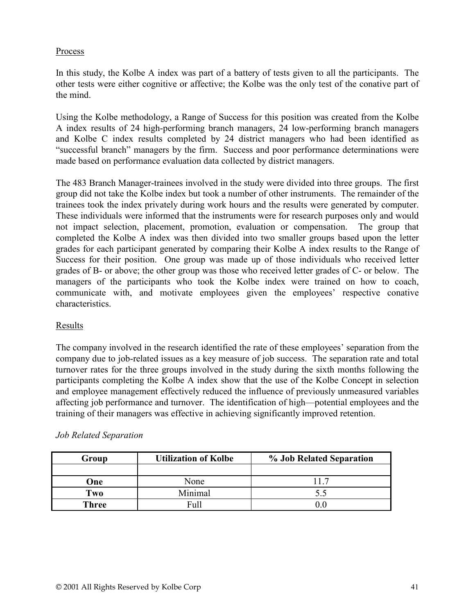#### Process

In this study, the Kolbe A index was part of a battery of tests given to all the participants. The other tests were either cognitive or affective; the Kolbe was the only test of the conative part of the mind.

Using the Kolbe methodology, a Range of Success for this position was created from the Kolbe A index results of 24 high-performing branch managers, 24 low-performing branch managers and Kolbe C index results completed by 24 district managers who had been identified as "successful branch" managers by the firm. Success and poor performance determinations were made based on performance evaluation data collected by district managers.

The 483 Branch Manager-trainees involved in the study were divided into three groups. The first group did not take the Kolbe index but took a number of other instruments. The remainder of the trainees took the index privately during work hours and the results were generated by computer. These individuals were informed that the instruments were for research purposes only and would not impact selection, placement, promotion, evaluation or compensation. The group that completed the Kolbe A index was then divided into two smaller groups based upon the letter grades for each participant generated by comparing their Kolbe A index results to the Range of Success for their position. One group was made up of those individuals who received letter grades of B- or above; the other group was those who received letter grades of C- or below. The managers of the participants who took the Kolbe index were trained on how to coach, communicate with, and motivate employees given the employees' respective conative characteristics.

#### Results

The company involved in the research identified the rate of these employees' separation from the company due to job-related issues as a key measure of job success. The separation rate and total turnover rates for the three groups involved in the study during the sixth months following the participants completing the Kolbe A index show that the use of the Kolbe Concept in selection and employee management effectively reduced the influence of previously unmeasured variables affecting job performance and turnover. The identification of high—potential employees and the training of their managers was effective in achieving significantly improved retention.

| Group        | <b>Utilization of Kolbe</b> | % Job Related Separation |
|--------------|-----------------------------|--------------------------|
|              |                             |                          |
| One          | None                        | 117                      |
| Two          | Minimal                     |                          |
| <b>Three</b> | F1111                       |                          |

#### Job Related Separation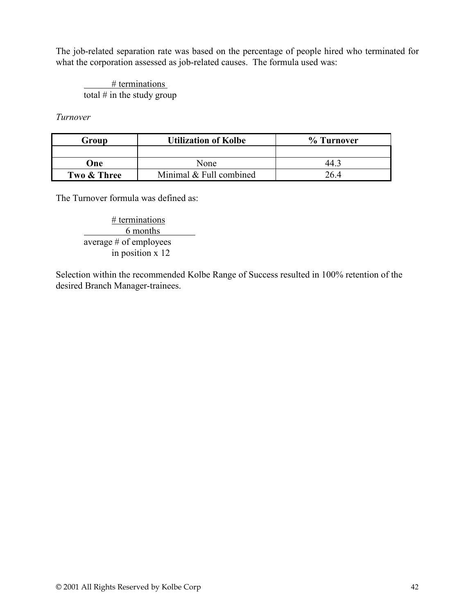The job-related separation rate was based on the percentage of people hired who terminated for what the corporation assessed as job-related causes. The formula used was:

# terminations total  $\#$  in the study group

Turnover

| Group       | <b>Utilization of Kolbe</b> | % Turnover |
|-------------|-----------------------------|------------|
|             |                             |            |
| One         | None                        | -44.       |
| Two & Three | Minimal & Full combined     |            |

The Turnover formula was defined as:

 $#$  terminations 6 months average # of employees in position x 12

Selection within the recommended Kolbe Range of Success resulted in 100% retention of the desired Branch Manager-trainees.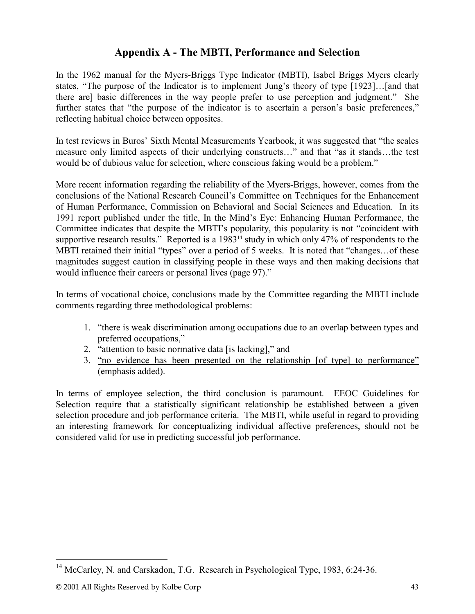### Appendix A - The MBTI, Performance and Selection

In the 1962 manual for the Myers-Briggs Type Indicator (MBTI), Isabel Briggs Myers clearly states, "The purpose of the Indicator is to implement Jung's theory of type [1923]…[and that there are] basic differences in the way people prefer to use perception and judgment." She further states that "the purpose of the indicator is to ascertain a person's basic preferences," reflecting habitual choice between opposites.

In test reviews in Buros' Sixth Mental Measurements Yearbook, it was suggested that "the scales measure only limited aspects of their underlying constructs…" and that "as it stands…the test would be of dubious value for selection, where conscious faking would be a problem."

More recent information regarding the reliability of the Myers-Briggs, however, comes from the conclusions of the National Research Council's Committee on Techniques for the Enhancement of Human Performance, Commission on Behavioral and Social Sciences and Education. In its 1991 report published under the title, In the Mind's Eye: Enhancing Human Performance, the Committee indicates that despite the MBTI's popularity, this popularity is not "coincident with supportive research results." Reported is a  $1983<sup>14</sup>$  study in which only 47% of respondents to the MBTI retained their initial "types" over a period of 5 weeks. It is noted that "changes…of these magnitudes suggest caution in classifying people in these ways and then making decisions that would influence their careers or personal lives (page 97)."

In terms of vocational choice, conclusions made by the Committee regarding the MBTI include comments regarding three methodological problems:

- 1. "there is weak discrimination among occupations due to an overlap between types and preferred occupations,"
- 2. "attention to basic normative data [is lacking]," and
- 3. "no evidence has been presented on the relationship [of type] to performance" (emphasis added).

In terms of employee selection, the third conclusion is paramount. EEOC Guidelines for Selection require that a statistically significant relationship be established between a given selection procedure and job performance criteria. The MBTI, while useful in regard to providing an interesting framework for conceptualizing individual affective preferences, should not be considered valid for use in predicting successful job performance.

l

<sup>&</sup>lt;sup>14</sup> McCarley, N. and Carskadon, T.G. Research in Psychological Type, 1983, 6:24-36.

<sup>© 2001</sup> All Rights Reserved by Kolbe Corp 43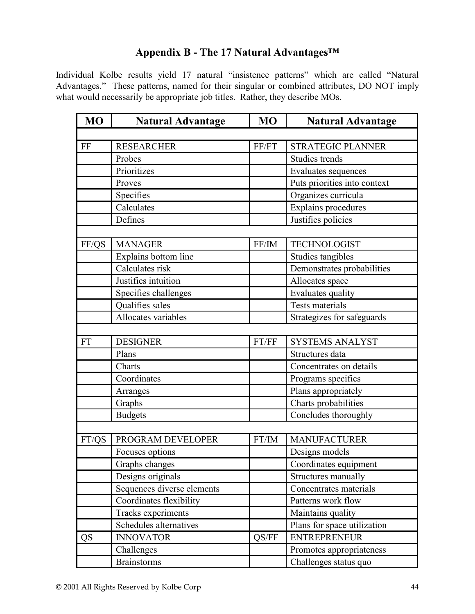### Appendix B - The 17 Natural Advantages™

Individual Kolbe results yield 17 natural "insistence patterns" which are called "Natural Advantages." These patterns, named for their singular or combined attributes, DO NOT imply what would necessarily be appropriate job titles. Rather, they describe MOs.

| <b>MO</b> | <b>Natural Advantage</b>   | <b>MO</b> | <b>Natural Advantage</b>     |
|-----------|----------------------------|-----------|------------------------------|
|           |                            |           |                              |
| FF        | <b>RESEARCHER</b>          | FF/FT     | <b>STRATEGIC PLANNER</b>     |
|           | Probes                     |           | Studies trends               |
|           | Prioritizes                |           | Evaluates sequences          |
|           | Proves                     |           | Puts priorities into context |
|           | Specifies                  |           | Organizes curricula          |
|           | Calculates                 |           | Explains procedures          |
|           | Defines                    |           | Justifies policies           |
|           |                            |           |                              |
| FF/QS     | <b>MANAGER</b>             | FF/IM     | <b>TECHNOLOGIST</b>          |
|           | Explains bottom line       |           | Studies tangibles            |
|           | Calculates risk            |           | Demonstrates probabilities   |
|           | Justifies intuition        |           | Allocates space              |
|           | Specifies challenges       |           | Evaluates quality            |
|           | Qualifies sales            |           | <b>Tests materials</b>       |
|           | Allocates variables        |           | Strategizes for safeguards   |
|           |                            |           |                              |
| <b>FT</b> | <b>DESIGNER</b>            | FT/FF     | <b>SYSTEMS ANALYST</b>       |
|           | Plans                      |           | Structures data              |
|           | Charts                     |           | Concentrates on details      |
|           | Coordinates                |           | Programs specifics           |
|           | Arranges                   |           | Plans appropriately          |
|           | Graphs                     |           | Charts probabilities         |
|           | <b>Budgets</b>             |           | Concludes thoroughly         |
|           |                            |           |                              |
| FT/QS     | PROGRAM DEVELOPER          | FT/IM     | <b>MANUFACTURER</b>          |
|           | Focuses options            |           | Designs models               |
|           | Graphs changes             |           | Coordinates equipment        |
|           | Designs originals          |           | Structures manually          |
|           | Sequences diverse elements |           | Concentrates materials       |
|           | Coordinates flexibility    |           | Patterns work flow           |
|           | Tracks experiments         |           | Maintains quality            |
|           | Schedules alternatives     |           | Plans for space utilization  |
| QS        | <b>INNOVATOR</b>           | QS/FF     | <b>ENTREPRENEUR</b>          |
|           | Challenges                 |           | Promotes appropriateness     |
|           | <b>Brainstorms</b>         |           | Challenges status quo        |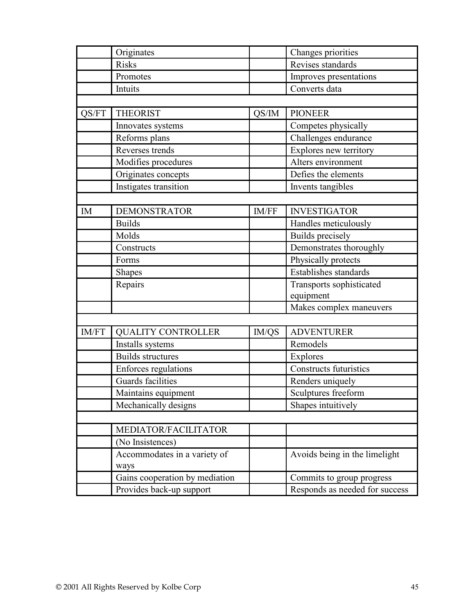|           | Originates                     |       | Changes priorities             |
|-----------|--------------------------------|-------|--------------------------------|
|           | <b>Risks</b>                   |       | Revises standards              |
|           | Promotes                       |       | Improves presentations         |
|           | Intuits                        |       | Converts data                  |
|           |                                |       |                                |
| QS/FT     | <b>THEORIST</b>                | QS/IM | <b>PIONEER</b>                 |
|           | Innovates systems              |       | Competes physically            |
|           | Reforms plans                  |       | Challenges endurance           |
|           | Reverses trends                |       | Explores new territory         |
|           | Modifies procedures            |       | Alters environment             |
|           | Originates concepts            |       | Defies the elements            |
|           | Instigates transition          |       | Invents tangibles              |
|           |                                |       |                                |
| <b>IM</b> | <b>DEMONSTRATOR</b>            | IM/FF | <b>INVESTIGATOR</b>            |
|           | <b>Builds</b>                  |       | Handles meticulously           |
|           | Molds                          |       | Builds precisely               |
|           | Constructs                     |       | Demonstrates thoroughly        |
|           | Forms                          |       | Physically protects            |
|           | <b>Shapes</b>                  |       | Establishes standards          |
|           | Repairs                        |       | Transports sophisticated       |
|           |                                |       | equipment                      |
|           |                                |       | Makes complex maneuvers        |
|           |                                |       |                                |
| IM/FT     | <b>QUALITY CONTROLLER</b>      | IM/QS | <b>ADVENTURER</b>              |
|           | Installs systems               |       | Remodels                       |
|           | <b>Builds structures</b>       |       | Explores                       |
|           | Enforces regulations           |       | <b>Constructs futuristics</b>  |
|           | Guards facilities              |       | Renders uniquely               |
|           | Maintains equipment            |       | Sculptures freeform            |
|           | Mechanically designs           |       | Shapes intuitively             |
|           |                                |       |                                |
|           | MEDIATOR/FACILITATOR           |       |                                |
|           | (No Insistences)               |       |                                |
|           | Accommodates in a variety of   |       | Avoids being in the limelight  |
|           | ways                           |       |                                |
|           | Gains cooperation by mediation |       | Commits to group progress      |
|           | Provides back-up support       |       | Responds as needed for success |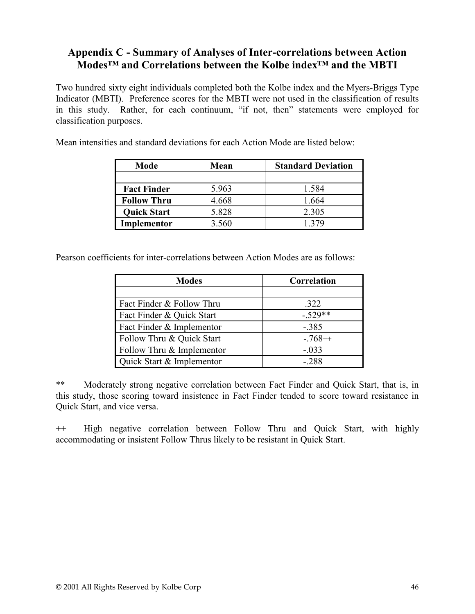### Appendix C - Summary of Analyses of Inter-correlations between Action Modes™ and Correlations between the Kolbe index™ and the MBTI

Two hundred sixty eight individuals completed both the Kolbe index and the Myers-Briggs Type Indicator (MBTI). Preference scores for the MBTI were not used in the classification of results in this study. Rather, for each continuum, "if not, then" statements were employed for classification purposes.

| Mode               | Mean  | <b>Standard Deviation</b> |
|--------------------|-------|---------------------------|
|                    |       |                           |
| <b>Fact Finder</b> | 5.963 | 1.584                     |
| <b>Follow Thru</b> | 4.668 | 1.664                     |
| <b>Quick Start</b> | 5.828 | 2.305                     |
| Implementor        | 3.560 | 1 379                     |

Mean intensities and standard deviations for each Action Mode are listed below:

Pearson coefficients for inter-correlations between Action Modes are as follows:

| <b>Modes</b>              | Correlation |
|---------------------------|-------------|
|                           |             |
| Fact Finder & Follow Thru | .322        |
| Fact Finder & Quick Start | $-.529**$   |
| Fact Finder & Implementor | $-.385$     |
| Follow Thru & Quick Start | $-.768++$   |
| Follow Thru & Implementor | $-.033$     |
| Quick Start & Implementor | $-.288$     |

\*\* Moderately strong negative correlation between Fact Finder and Quick Start, that is, in this study, those scoring toward insistence in Fact Finder tended to score toward resistance in Quick Start, and vice versa.

++ High negative correlation between Follow Thru and Quick Start, with highly accommodating or insistent Follow Thrus likely to be resistant in Quick Start.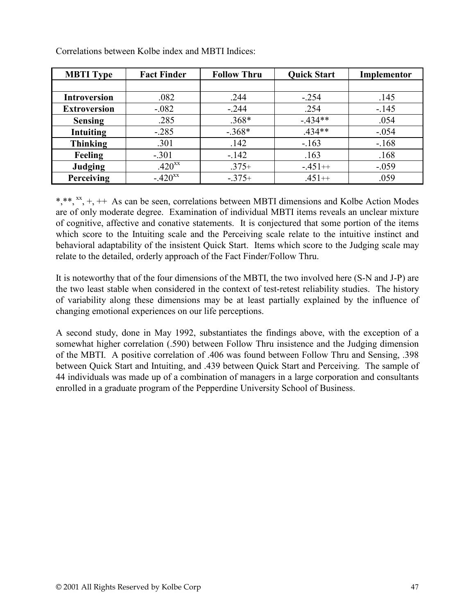| <b>MBTI</b> Type    | <b>Fact Finder</b> | <b>Follow Thru</b> | <b>Quick Start</b> | Implementor |
|---------------------|--------------------|--------------------|--------------------|-------------|
|                     |                    |                    |                    |             |
| <b>Introversion</b> | .082               | .244               | $-.254$            | .145        |
| <b>Extroversion</b> | $-.082$            | $-.244$            | .254               | $-145$      |
| <b>Sensing</b>      | .285               | $.368*$            | $-434**$           | .054        |
| <b>Intuiting</b>    | $-.285$            | $-.368*$           | $434**$            | $-.054$     |
| <b>Thinking</b>     | .301               | .142               | $-163$             | $-168$      |
| Feeling             | $-.301$            | $-142$             | .163               | .168        |
| <b>Judging</b>      | .420 <sup>xx</sup> | $.375+$            | $-451++$           | $-.059$     |
| Perceiving          | $-.420^{XX}$       | $-.375+$           | $.451++$           | .059        |

Correlations between Kolbe index and MBTI Indices:

 $*,**$ ,  $^{xx}$ ,  $+$ ,  $+$  As can be seen, correlations between MBTI dimensions and Kolbe Action Modes are of only moderate degree. Examination of individual MBTI items reveals an unclear mixture of cognitive, affective and conative statements. It is conjectured that some portion of the items which score to the Intuiting scale and the Perceiving scale relate to the intuitive instinct and behavioral adaptability of the insistent Quick Start. Items which score to the Judging scale may relate to the detailed, orderly approach of the Fact Finder/Follow Thru.

It is noteworthy that of the four dimensions of the MBTI, the two involved here (S-N and J-P) are the two least stable when considered in the context of test-retest reliability studies. The history of variability along these dimensions may be at least partially explained by the influence of changing emotional experiences on our life perceptions.

A second study, done in May 1992, substantiates the findings above, with the exception of a somewhat higher correlation (.590) between Follow Thru insistence and the Judging dimension of the MBTI. A positive correlation of .406 was found between Follow Thru and Sensing, .398 between Quick Start and Intuiting, and .439 between Quick Start and Perceiving. The sample of 44 individuals was made up of a combination of managers in a large corporation and consultants enrolled in a graduate program of the Pepperdine University School of Business.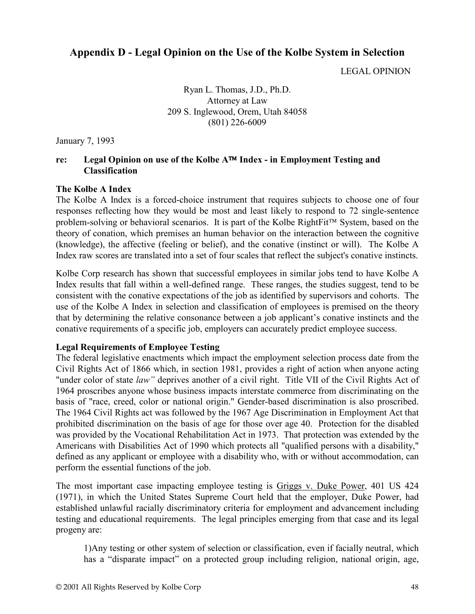### Appendix D - Legal Opinion on the Use of the Kolbe System in Selection

LEGAL OPINION

Ryan L. Thomas, J.D., Ph.D. Attorney at Law 209 S. Inglewood, Orem, Utah 84058 (801) 226-6009

January 7, 1993

#### re: Legal Opinion on use of the Kolbe A™ Index - in Employment Testing and Classification

#### The Kolbe A Index

The Kolbe A Index is a forced-choice instrument that requires subjects to choose one of four responses reflecting how they would be most and least likely to respond to 72 single-sentence problem-solving or behavioral scenarios. It is part of the Kolbe RightFit™ System, based on the theory of conation, which premises an human behavior on the interaction between the cognitive (knowledge), the affective (feeling or belief), and the conative (instinct or will). The Kolbe A Index raw scores are translated into a set of four scales that reflect the subject's conative instincts.

Kolbe Corp research has shown that successful employees in similar jobs tend to have Kolbe A Index results that fall within a well-defined range. These ranges, the studies suggest, tend to be consistent with the conative expectations of the job as identified by supervisors and cohorts. The use of the Kolbe A Index in selection and classification of employees is premised on the theory that by determining the relative consonance between a job applicant's conative instincts and the conative requirements of a specific job, employers can accurately predict employee success.

#### Legal Requirements of Employee Testing

The federal legislative enactments which impact the employment selection process date from the Civil Rights Act of 1866 which, in section 1981, provides a right of action when anyone acting "under color of state *law*" deprives another of a civil right. Title VII of the Civil Rights Act of 1964 proscribes anyone whose business impacts interstate commerce from discriminating on the basis of "race, creed, color or national origin." Gender-based discrimination is also proscribed. The 1964 Civil Rights act was followed by the 1967 Age Discrimination in Employment Act that prohibited discrimination on the basis of age for those over age 40. Protection for the disabled was provided by the Vocational Rehabilitation Act in 1973. That protection was extended by the Americans with Disabilities Act of 1990 which protects all "qualified persons with a disability," defined as any applicant or employee with a disability who, with or without accommodation, can perform the essential functions of the job.

The most important case impacting employee testing is Griggs v. Duke Power, 401 US 424 (1971), in which the United States Supreme Court held that the employer, Duke Power, had established unlawful racially discriminatory criteria for employment and advancement including testing and educational requirements. The legal principles emerging from that case and its legal progeny are:

1)Any testing or other system of selection or classification, even if facially neutral, which has a "disparate impact" on a protected group including religion, national origin, age,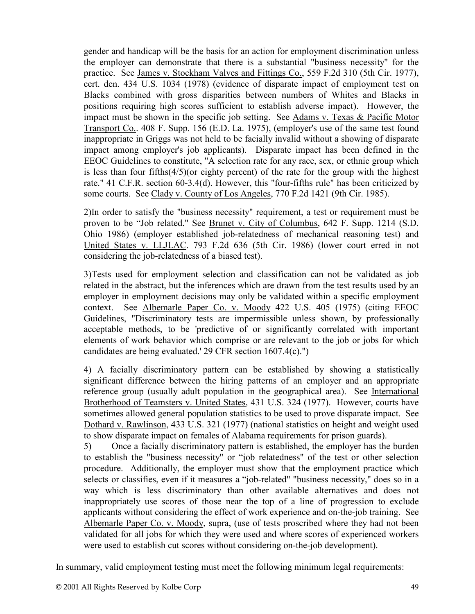gender and handicap will be the basis for an action for employment discrimination unless the employer can demonstrate that there is a substantial "business necessity" for the practice. See James v. Stockham Valves and Fittings Co., 559 F.2d 310 (5th Cir. 1977), cert. den. 434 U.S. 1034 (1978) (evidence of disparate impact of employment test on Blacks combined with gross disparities between numbers of Whites and Blacks in positions requiring high scores sufficient to establish adverse impact). However, the impact must be shown in the specific job setting. See Adams v. Texas & Pacific Motor Transport Co.. 408 F. Supp. 156 (E.D. La. 1975), (employer's use of the same test found inappropriate in Griggs was not held to be facially invalid without a showing of disparate impact among employer's job applicants). Disparate impact has been defined in the EEOC Guidelines to constitute, "A selection rate for any race, sex, or ethnic group which is less than four fifths(4/5)(or eighty percent) of the rate for the group with the highest rate." 41 C.F.R. section 60-3.4(d). However, this "four-fifths rule" has been criticized by some courts. See Clady v. County of Los Angeles, 770 F.2d 1421 (9th Cir. 1985).

2)In order to satisfy the "business necessity" requirement, a test or requirement must be proven to be "Job related." See Brunet v. City of Columbus, 642 F. Supp. 1214 (S.D. Ohio 1986) (employer established job-relatedness of mechanical reasoning test) and United States v. LLJLAC. 793 F.2d 636 (5th Cir. 1986) (lower court erred in not considering the job-relatedness of a biased test).

3)Tests used for employment selection and classification can not be validated as job related in the abstract, but the inferences which are drawn from the test results used by an employer in employment decisions may only be validated within a specific employment context. See Albemarle Paper Co. v. Moody 422 U.S. 405 (1975) (citing EEOC Guidelines, "Discriminatory tests are impermissible unless shown, by professionally acceptable methods, to be 'predictive of or significantly correlated with important elements of work behavior which comprise or are relevant to the job or jobs for which candidates are being evaluated.' 29 CFR section 1607.4(c).")

4) A facially discriminatory pattern can be established by showing a statistically significant difference between the hiring patterns of an employer and an appropriate reference group (usually adult population in the geographical area). See International Brotherhood of Teamsters v. United States, 431 U.S. 324 (1977). However, courts have sometimes allowed general population statistics to be used to prove disparate impact. See Dothard v. Rawlinson, 433 U.S. 321 (1977) (national statistics on height and weight used to show disparate impact on females of Alabama requirements for prison guards).

5) Once a facially discriminatory pattern is established, the employer has the burden to establish the "business necessity" or "job relatedness" of the test or other selection procedure. Additionally, the employer must show that the employment practice which selects or classifies, even if it measures a "job-related" "business necessity," does so in a way which is less discriminatory than other available alternatives and does not inappropriately use scores of those near the top of a line of progression to exclude applicants without considering the effect of work experience and on-the-job training. See Albemarle Paper Co. v. Moody, supra, (use of tests proscribed where they had not been validated for all jobs for which they were used and where scores of experienced workers were used to establish cut scores without considering on-the-job development).

In summary, valid employment testing must meet the following minimum legal requirements: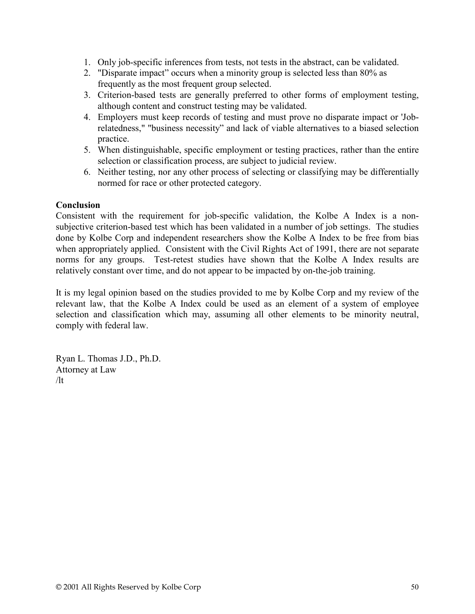- 1. Only job-specific inferences from tests, not tests in the abstract, can be validated.
- 2. "Disparate impact" occurs when a minority group is selected less than 80% as frequently as the most frequent group selected.
- 3. Criterion-based tests are generally preferred to other forms of employment testing, although content and construct testing may be validated.
- 4. Employers must keep records of testing and must prove no disparate impact or 'Jobrelatedness," "business necessity" and lack of viable alternatives to a biased selection practice.
- 5. When distinguishable, specific employment or testing practices, rather than the entire selection or classification process, are subject to judicial review.
- 6. Neither testing, nor any other process of selecting or classifying may be differentially normed for race or other protected category.

#### Conclusion

Consistent with the requirement for job-specific validation, the Kolbe A Index is a nonsubjective criterion-based test which has been validated in a number of job settings. The studies done by Kolbe Corp and independent researchers show the Kolbe A Index to be free from bias when appropriately applied. Consistent with the Civil Rights Act of 1991, there are not separate norms for any groups. Test-retest studies have shown that the Kolbe A Index results are relatively constant over time, and do not appear to be impacted by on-the-job training.

It is my legal opinion based on the studies provided to me by Kolbe Corp and my review of the relevant law, that the Kolbe A Index could be used as an element of a system of employee selection and classification which may, assuming all other elements to be minority neutral, comply with federal law.

Ryan L. Thomas J.D., Ph.D. Attorney at Law  $/$ lt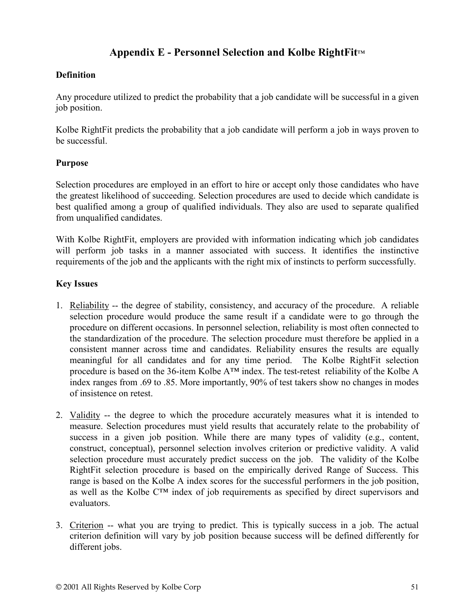### Appendix E - Personnel Selection and Kolbe RightFit™

#### **Definition**

Any procedure utilized to predict the probability that a job candidate will be successful in a given job position.

Kolbe RightFit predicts the probability that a job candidate will perform a job in ways proven to be successful.

#### Purpose

Selection procedures are employed in an effort to hire or accept only those candidates who have the greatest likelihood of succeeding. Selection procedures are used to decide which candidate is best qualified among a group of qualified individuals. They also are used to separate qualified from unqualified candidates.

With Kolbe RightFit, employers are provided with information indicating which job candidates will perform job tasks in a manner associated with success. It identifies the instinctive requirements of the job and the applicants with the right mix of instincts to perform successfully.

#### Key Issues

- 1. Reliability -- the degree of stability, consistency, and accuracy of the procedure. A reliable selection procedure would produce the same result if a candidate were to go through the procedure on different occasions. In personnel selection, reliability is most often connected to the standardization of the procedure. The selection procedure must therefore be applied in a consistent manner across time and candidates. Reliability ensures the results are equally meaningful for all candidates and for any time period. The Kolbe RightFit selection procedure is based on the 36-item Kolbe A™ index. The test-retest reliability of the Kolbe A index ranges from .69 to .85. More importantly, 90% of test takers show no changes in modes of insistence on retest.
- 2. Validity -- the degree to which the procedure accurately measures what it is intended to measure. Selection procedures must yield results that accurately relate to the probability of success in a given job position. While there are many types of validity (e.g., content, construct, conceptual), personnel selection involves criterion or predictive validity. A valid selection procedure must accurately predict success on the job. The validity of the Kolbe RightFit selection procedure is based on the empirically derived Range of Success. This range is based on the Kolbe A index scores for the successful performers in the job position, as well as the Kolbe C™ index of job requirements as specified by direct supervisors and evaluators.
- 3. Criterion -- what you are trying to predict. This is typically success in a job. The actual criterion definition will vary by job position because success will be defined differently for different jobs.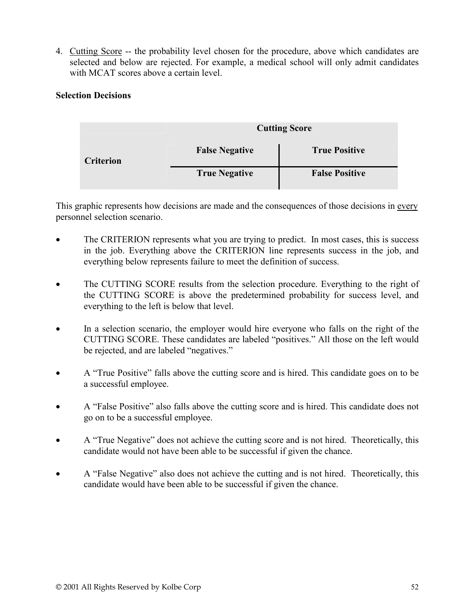4. Cutting Score -- the probability level chosen for the procedure, above which candidates are selected and below are rejected. For example, a medical school will only admit candidates with MCAT scores above a certain level.

#### Selection Decisions

|                  | <b>Cutting Score</b>  |                       |  |  |  |
|------------------|-----------------------|-----------------------|--|--|--|
| <b>Criterion</b> | <b>False Negative</b> | <b>True Positive</b>  |  |  |  |
|                  | <b>True Negative</b>  | <b>False Positive</b> |  |  |  |

This graphic represents how decisions are made and the consequences of those decisions in every personnel selection scenario.

- The CRITERION represents what you are trying to predict. In most cases, this is success in the job. Everything above the CRITERION line represents success in the job, and everything below represents failure to meet the definition of success.
- The CUTTING SCORE results from the selection procedure. Everything to the right of the CUTTING SCORE is above the predetermined probability for success level, and everything to the left is below that level.
- In a selection scenario, the employer would hire everyone who falls on the right of the CUTTING SCORE. These candidates are labeled "positives." All those on the left would be rejected, and are labeled "negatives."
- A "True Positive" falls above the cutting score and is hired. This candidate goes on to be a successful employee.
- A "False Positive" also falls above the cutting score and is hired. This candidate does not go on to be a successful employee.
- A "True Negative" does not achieve the cutting score and is not hired. Theoretically, this candidate would not have been able to be successful if given the chance.
- A "False Negative" also does not achieve the cutting and is not hired. Theoretically, this candidate would have been able to be successful if given the chance.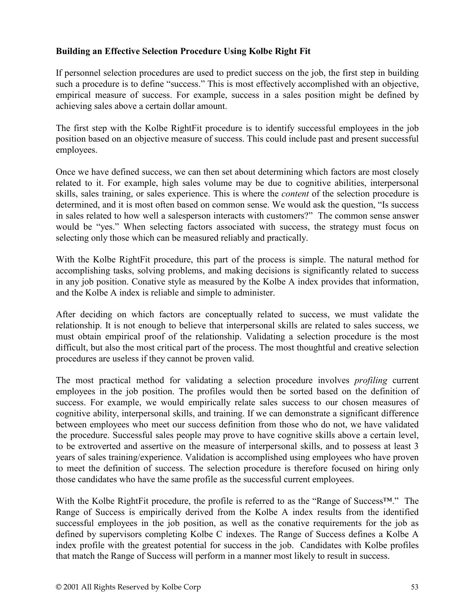#### Building an Effective Selection Procedure Using Kolbe Right Fit

If personnel selection procedures are used to predict success on the job, the first step in building such a procedure is to define "success." This is most effectively accomplished with an objective, empirical measure of success. For example, success in a sales position might be defined by achieving sales above a certain dollar amount.

The first step with the Kolbe RightFit procedure is to identify successful employees in the job position based on an objective measure of success. This could include past and present successful employees.

Once we have defined success, we can then set about determining which factors are most closely related to it. For example, high sales volume may be due to cognitive abilities, interpersonal skills, sales training, or sales experience. This is where the content of the selection procedure is determined, and it is most often based on common sense. We would ask the question, "Is success in sales related to how well a salesperson interacts with customers?" The common sense answer would be "yes." When selecting factors associated with success, the strategy must focus on selecting only those which can be measured reliably and practically.

With the Kolbe RightFit procedure, this part of the process is simple. The natural method for accomplishing tasks, solving problems, and making decisions is significantly related to success in any job position. Conative style as measured by the Kolbe A index provides that information, and the Kolbe A index is reliable and simple to administer.

After deciding on which factors are conceptually related to success, we must validate the relationship. It is not enough to believe that interpersonal skills are related to sales success, we must obtain empirical proof of the relationship. Validating a selection procedure is the most difficult, but also the most critical part of the process. The most thoughtful and creative selection procedures are useless if they cannot be proven valid.

The most practical method for validating a selection procedure involves *profiling* current employees in the job position. The profiles would then be sorted based on the definition of success. For example, we would empirically relate sales success to our chosen measures of cognitive ability, interpersonal skills, and training. If we can demonstrate a significant difference between employees who meet our success definition from those who do not, we have validated the procedure. Successful sales people may prove to have cognitive skills above a certain level, to be extroverted and assertive on the measure of interpersonal skills, and to possess at least 3 years of sales training/experience. Validation is accomplished using employees who have proven to meet the definition of success. The selection procedure is therefore focused on hiring only those candidates who have the same profile as the successful current employees.

With the Kolbe RightFit procedure, the profile is referred to as the "Range of Success™." The Range of Success is empirically derived from the Kolbe A index results from the identified successful employees in the job position, as well as the conative requirements for the job as defined by supervisors completing Kolbe C indexes. The Range of Success defines a Kolbe A index profile with the greatest potential for success in the job. Candidates with Kolbe profiles that match the Range of Success will perform in a manner most likely to result in success.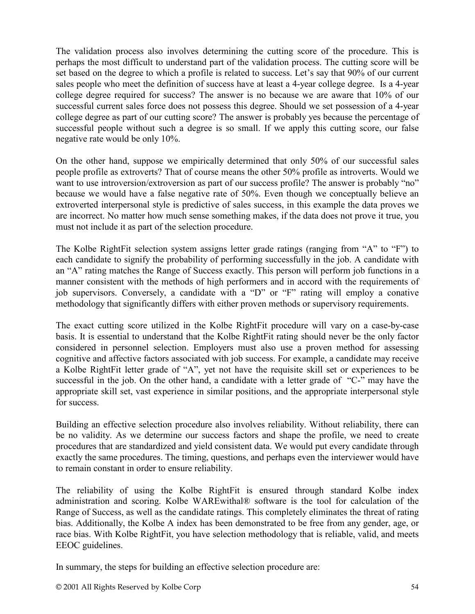The validation process also involves determining the cutting score of the procedure. This is perhaps the most difficult to understand part of the validation process. The cutting score will be set based on the degree to which a profile is related to success. Let's say that 90% of our current sales people who meet the definition of success have at least a 4-year college degree. Is a 4-year college degree required for success? The answer is no because we are aware that 10% of our successful current sales force does not possess this degree. Should we set possession of a 4-year college degree as part of our cutting score? The answer is probably yes because the percentage of successful people without such a degree is so small. If we apply this cutting score, our false negative rate would be only 10%.

On the other hand, suppose we empirically determined that only 50% of our successful sales people profile as extroverts? That of course means the other 50% profile as introverts. Would we want to use introversion/extroversion as part of our success profile? The answer is probably "no" because we would have a false negative rate of 50%. Even though we conceptually believe an extroverted interpersonal style is predictive of sales success, in this example the data proves we are incorrect. No matter how much sense something makes, if the data does not prove it true, you must not include it as part of the selection procedure.

The Kolbe RightFit selection system assigns letter grade ratings (ranging from "A" to "F") to each candidate to signify the probability of performing successfully in the job. A candidate with an "A" rating matches the Range of Success exactly. This person will perform job functions in a manner consistent with the methods of high performers and in accord with the requirements of job supervisors. Conversely, a candidate with a "D" or "F" rating will employ a conative methodology that significantly differs with either proven methods or supervisory requirements.

The exact cutting score utilized in the Kolbe RightFit procedure will vary on a case-by-case basis. It is essential to understand that the Kolbe RightFit rating should never be the only factor considered in personnel selection. Employers must also use a proven method for assessing cognitive and affective factors associated with job success. For example, a candidate may receive a Kolbe RightFit letter grade of "A", yet not have the requisite skill set or experiences to be successful in the job. On the other hand, a candidate with a letter grade of "C-" may have the appropriate skill set, vast experience in similar positions, and the appropriate interpersonal style for success.

Building an effective selection procedure also involves reliability. Without reliability, there can be no validity. As we determine our success factors and shape the profile, we need to create procedures that are standardized and yield consistent data. We would put every candidate through exactly the same procedures. The timing, questions, and perhaps even the interviewer would have to remain constant in order to ensure reliability.

The reliability of using the Kolbe RightFit is ensured through standard Kolbe index administration and scoring. Kolbe WAREwithal® software is the tool for calculation of the Range of Success, as well as the candidate ratings. This completely eliminates the threat of rating bias. Additionally, the Kolbe A index has been demonstrated to be free from any gender, age, or race bias. With Kolbe RightFit, you have selection methodology that is reliable, valid, and meets EEOC guidelines.

In summary, the steps for building an effective selection procedure are: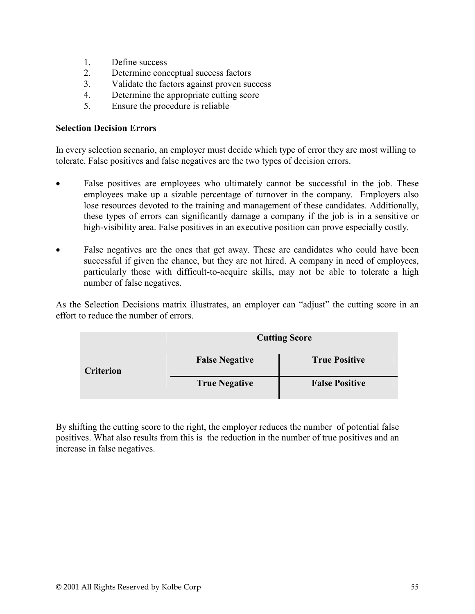- 1. Define success
- 2. Determine conceptual success factors
- 3. Validate the factors against proven success
- 4. Determine the appropriate cutting score
- 5. Ensure the procedure is reliable

#### Selection Decision Errors

In every selection scenario, an employer must decide which type of error they are most willing to tolerate. False positives and false negatives are the two types of decision errors.

- False positives are employees who ultimately cannot be successful in the job. These employees make up a sizable percentage of turnover in the company. Employers also lose resources devoted to the training and management of these candidates. Additionally, these types of errors can significantly damage a company if the job is in a sensitive or high-visibility area. False positives in an executive position can prove especially costly.
- False negatives are the ones that get away. These are candidates who could have been successful if given the chance, but they are not hired. A company in need of employees, particularly those with difficult-to-acquire skills, may not be able to tolerate a high number of false negatives.

As the Selection Decisions matrix illustrates, an employer can "adjust" the cutting score in an effort to reduce the number of errors.

|                  | <b>Cutting Score</b>  |                       |  |  |
|------------------|-----------------------|-----------------------|--|--|
| <b>Criterion</b> | <b>False Negative</b> | <b>True Positive</b>  |  |  |
|                  | <b>True Negative</b>  | <b>False Positive</b> |  |  |

By shifting the cutting score to the right, the employer reduces the number of potential false positives. What also results from this is the reduction in the number of true positives and an increase in false negatives.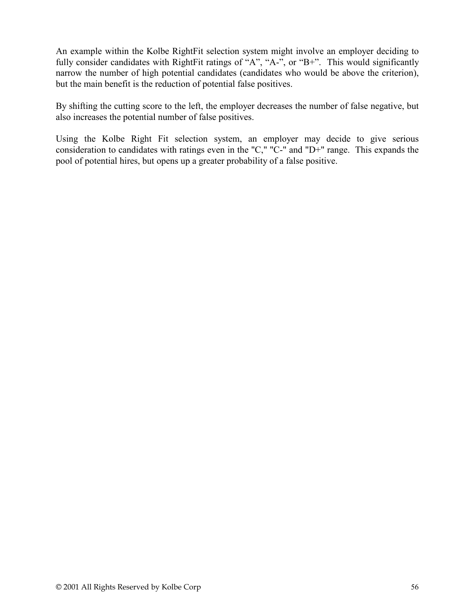An example within the Kolbe RightFit selection system might involve an employer deciding to fully consider candidates with RightFit ratings of "A", "A-", or "B+". This would significantly narrow the number of high potential candidates (candidates who would be above the criterion), but the main benefit is the reduction of potential false positives.

By shifting the cutting score to the left, the employer decreases the number of false negative, but also increases the potential number of false positives.

Using the Kolbe Right Fit selection system, an employer may decide to give serious consideration to candidates with ratings even in the "C," "C-" and "D+" range. This expands the pool of potential hires, but opens up a greater probability of a false positive.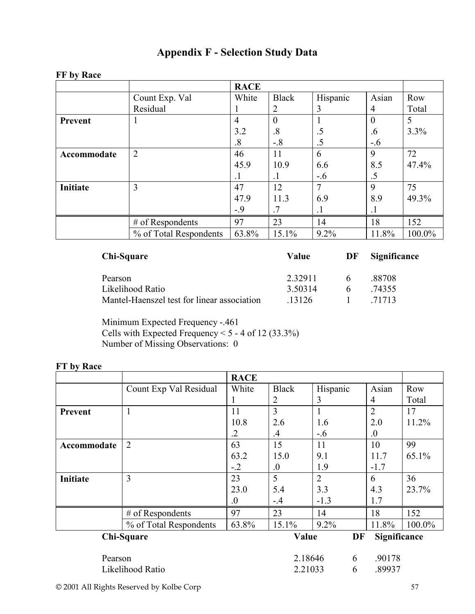### Appendix F - Selection Study Data

|                |                        | <b>RACE</b>    |              |           |          |        |
|----------------|------------------------|----------------|--------------|-----------|----------|--------|
|                | Count Exp. Val         | White          | <b>Black</b> | Hispanic  | Asian    | Row    |
|                | Residual               |                | 2            | 3         | 4        | Total  |
| <b>Prevent</b> |                        | $\overline{4}$ | $\theta$     |           | $\Omega$ | 5      |
|                |                        | 3.2            | $\cdot$ 8    |           | .6       | 3.3%   |
|                |                        | .8             | $-.8$        | $.5\,$    | $-0.6$   |        |
| Accommodate    | $\overline{2}$         | 46             | 11           | 6         | 9        | 72     |
|                |                        | 45.9           | 10.9         | 6.6       | 8.5      | 47.4%  |
|                |                        | . 1            | $\cdot$ 1    | $-.6$     | .5       |        |
| Initiate       | 3                      | 47             | 12           | 7         | 9        | 75     |
|                |                        | 47.9           | 11.3         | 6.9       | 8.9      | 49.3%  |
|                |                        | $-9$           | .7           | $\cdot$ 1 | . 1      |        |
|                | $#$ of Respondents     | 97             | 23           | 14        | 18       | 152    |
|                | % of Total Respondents | 63.8%          | 15.1%        | $9.2\%$   | 11.8%    | 100.0% |

#### FF by Race

| Chi-Square                                  | Value       | DF | Significance |
|---------------------------------------------|-------------|----|--------------|
| Pearson                                     | 2 3 2 9 1 1 | 6  | -88708       |
| Likelihood Ratio                            | 3.50314     | 6  | 74355        |
| Mantel-Haenszel test for linear association | 13126       |    | 71713        |

Minimum Expected Frequency -.461 Cells with Expected Frequency  $\leq 5$  - 4 of 12 (33.3%) Number of Missing Observations: 0

#### **RACE** Count Exp Val Residual White 1 **Black** 2 Hispanic 3 Asian 4 Row Total **Prevent**  $\begin{array}{ccc} 1 & 1 \\ 1 & 1 \end{array}$ 10.8 .2 3 2.6 .4 1 1.6 -.6 2 2.0 .0 17 11.2% Accommodate  $\begin{array}{|c|c|c|c|c|} \hline 2 & 63 \\ \hline \end{array}$ 63.2 -.2 15 15.0 .0 11 9.1 1.9 10 11.7 -1.7 99 65.1% Initiate  $\begin{array}{|c|c|c|c|c|} \hline 3 & 23 \\ \hline \end{array}$ 23.0 .0 5 5.4 -.4 2 3.3 -1.3 6 4.3 1.7 36 23.7% # of Respondents 97 23 14 18 152 % of Total Respondents 63.8% 15.1% 9.2% 11.8% 100.0% Chi-Square Value DF Significance Pearson 2.18646 6 .90178

Likelihood Ratio 2.21033 6 .89937

#### FT by Race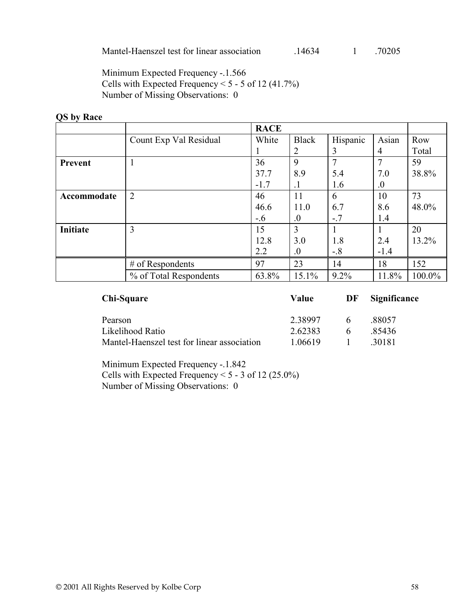Minimum Expected Frequency -.1.566 Cells with Expected Frequency  $\leq 5$  - 5 of 12 (41.7%) Number of Missing Observations: 0

#### QS by Race

|                 |                        | <b>RACE</b> |              |          |         |        |
|-----------------|------------------------|-------------|--------------|----------|---------|--------|
|                 | Count Exp Val Residual | White       | <b>Black</b> | Hispanic | Asian   | Row    |
|                 |                        |             | 2            | 3        | 4       | Total  |
| Prevent         |                        | 36          | 9            | 7        | 7       | 59     |
|                 |                        | 37.7        | 8.9          | 5.4      | 7.0     | 38.8%  |
|                 |                        | $-1.7$      | $\cdot$      | 1.6      | $\cdot$ |        |
| Accommodate     | $\overline{2}$         | 46          | 11           | 6        | 10      | 73     |
|                 |                        | 46.6        | 11.0         | 6.7      | 8.6     | 48.0%  |
|                 |                        | $-6$        | $\cdot$      | $-.7$    | 1.4     |        |
| <b>Initiate</b> | 3                      | 15          | 3            |          |         | 20     |
|                 |                        | 12.8        | 3.0          | 1.8      | 2.4     | 13.2%  |
|                 |                        | 2.2         | $\cdot$      | $-8$     | $-1.4$  |        |
|                 | $#$ of Respondents     | 97          | 23           | 14       | 18      | 152    |
|                 | % of Total Respondents | 63.8%       | 15.1%        | 9.2%     | 11.8%   | 100.0% |

| Chi-Square                                  | Value   | DF | Significance |
|---------------------------------------------|---------|----|--------------|
| Pearson                                     | 2.38997 | h  | 88057        |
| Likelihood Ratio                            | 2.62383 | h  | 85436        |
| Mantel-Haenszel test for linear association | 1 06619 |    | 30181        |

Minimum Expected Frequency -.1.842 Cells with Expected Frequency  $\leq 5$  - 3 of 12 (25.0%) Number of Missing Observations: 0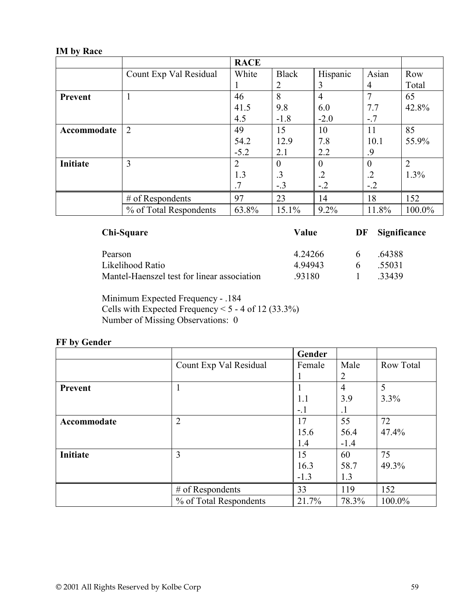#### IM by Race

|                 |                        | <b>RACE</b>    |              |                |                |        |
|-----------------|------------------------|----------------|--------------|----------------|----------------|--------|
|                 | Count Exp Val Residual | White          | <b>Black</b> | Hispanic       | Asian          | Row    |
|                 |                        |                | 2            | 3              | $\overline{4}$ | Total  |
| Prevent         |                        | 46             | 8            | $\overline{4}$ | 7              | 65     |
|                 |                        | 41.5           | 9.8          | 6.0            | 7.7            | 42.8%  |
|                 |                        | 4.5            | $-1.8$       | $-2.0$         | $-.7$          |        |
| Accommodate     | $\overline{2}$         | 49             | 15           | 10             | 11             | 85     |
|                 |                        | 54.2           | 12.9         | 7.8            | 10.1           | 55.9%  |
|                 |                        | $-5.2$         | 2.1          | 2.2            | .9             |        |
| <b>Initiate</b> | 3                      | $\overline{2}$ | $\Omega$     | $\Omega$       | $\theta$       | 2      |
|                 |                        | 1.3            | $\cdot$ 3    | $\cdot$ 2      | $\cdot$ .2     | 1.3%   |
|                 |                        |                | $-.3$        | $-.2$          | $-.2$          |        |
|                 | $#$ of Respondents     | 97             | 23           | 14             | 18             | 152    |
|                 | % of Total Respondents | 63.8%          | 15.1%        | $9.2\%$        | 11.8%          | 100.0% |

| Chi-Square                                  | Value     | DF | <b>Significance</b> |
|---------------------------------------------|-----------|----|---------------------|
| Pearson                                     | 4 24 26 6 | h  | 64388               |
| Likelihood Ratio                            | 4.94943   | n  | 55031               |
| Mantel-Haenszel test for linear association | 93180     |    | 33439               |

Minimum Expected Frequency - .184 Cells with Expected Frequency  $\leq 5 - 4$  of 12 (33.3%) Number of Missing Observations: 0

### FF by Gender

|             |                        | Gender |                |                  |
|-------------|------------------------|--------|----------------|------------------|
|             | Count Exp Val Residual | Female | Male           | <b>Row Total</b> |
|             |                        |        | 2              |                  |
| Prevent     |                        |        | $\overline{4}$ | 5                |
|             |                        | 1.1    | 3.9            | 3.3%             |
|             |                        | $-.1$  | $\cdot$        |                  |
| Accommodate | $\overline{2}$         | 17     | 55             | 72               |
|             |                        | 15.6   | 56.4           | 47.4%            |
|             |                        | 1.4    | $-1.4$         |                  |
| Initiate    | 3                      | 15     | 60             | 75               |
|             |                        | 16.3   | 58.7           | 49.3%            |
|             |                        | $-1.3$ | 1.3            |                  |
|             | $#$ of Respondents     | 33     | 119            | 152              |
|             | % of Total Respondents | 21.7%  | 78.3%          | 100.0%           |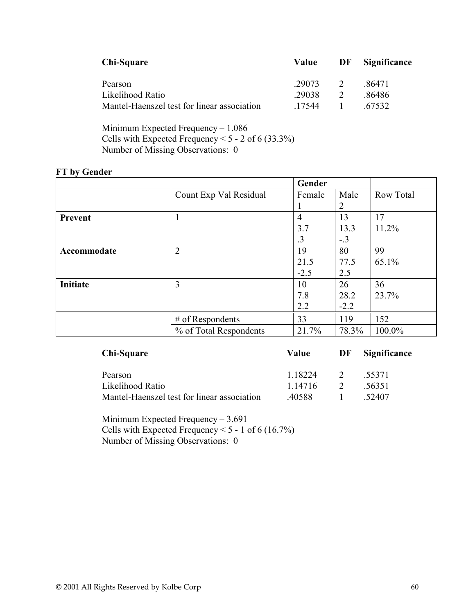| Chi-Square                                  | Value          |               | DF Significance |
|---------------------------------------------|----------------|---------------|-----------------|
| Pearson<br>Likelihood Ratio                 | 29073<br>29038 | $\mathcal{L}$ | 86471<br>.86486 |
| Mantel-Haenszel test for linear association | 17544          |               | 67532           |

Minimum Expected Frequency – 1.086 Cells with Expected Frequency  $\leq 5$  - 2 of 6 (33.3%) Number of Missing Observations: 0

#### FT by Gender

|             |                        | Gender         |        |           |
|-------------|------------------------|----------------|--------|-----------|
|             | Count Exp Val Residual | Female         | Male   | Row Total |
|             |                        |                | 2      |           |
| Prevent     |                        | $\overline{4}$ | 13     | 17        |
|             |                        | 3.7            | 13.3   | 11.2%     |
|             |                        | .3             | $-.3$  |           |
| Accommodate | $\overline{2}$         | 19             | 80     | 99        |
|             |                        | 21.5           | 77.5   | 65.1%     |
|             |                        | $-2.5$         | 2.5    |           |
| Initiate    | $\overline{3}$         | 10             | 26     | 36        |
|             |                        | 7.8            | 28.2   | 23.7%     |
|             |                        | 2.2            | $-2.2$ |           |
|             | $#$ of Respondents     | 33             | 119    | 152       |
|             | % of Total Respondents | 21.7%          | 78.3%  | 100.0%    |

| Chi-Square                                  | Value   | DF Significance |
|---------------------------------------------|---------|-----------------|
| Pearson                                     | 1 18224 | 55371           |
| Likelihood Ratio                            | 1.14716 | 56351           |
| Mantel-Haenszel test for linear association | 40588   | 52407           |

Minimum Expected Frequency – 3.691 Cells with Expected Frequency <  $5 - 1$  of 6 (16.7%) Number of Missing Observations: 0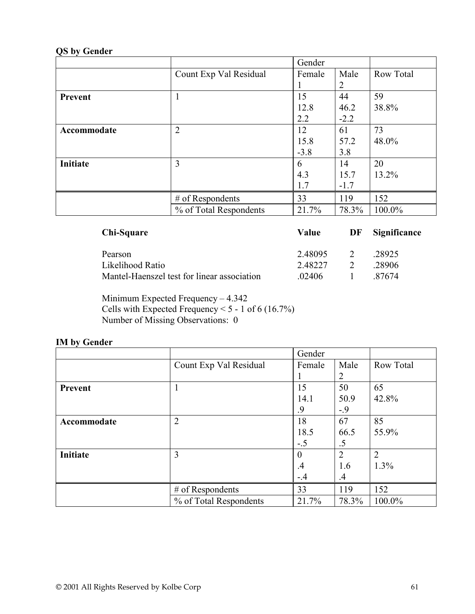#### QS by Gender

|                |                        | Gender |        |           |
|----------------|------------------------|--------|--------|-----------|
|                | Count Exp Val Residual | Female | Male   | Row Total |
|                |                        |        | 2      |           |
| <b>Prevent</b> | 1                      | 15     | 44     | 59        |
|                |                        | 12.8   | 46.2   | 38.8%     |
|                |                        | 2.2    | $-2.2$ |           |
| Accommodate    | $\overline{2}$         | 12     | 61     | 73        |
|                |                        | 15.8   | 57.2   | 48.0%     |
|                |                        | $-3.8$ | 3.8    |           |
| Initiate       | 3                      | 6      | 14     | 20        |
|                |                        | 4.3    | 15.7   | 13.2%     |
|                |                        | 1.7    | $-1.7$ |           |
|                | $#$ of Respondents     | 33     | 119    | 152       |
|                | % of Total Respondents | 21.7%  | 78.3%  | 100.0%    |

| Value  | DF Significance |
|--------|-----------------|
| 248095 | 28925           |
| 248227 | 28906           |
| 02406  | 87674           |
|        |                 |

Minimum Expected Frequency – 4.342 Cells with Expected Frequency <  $5 - 1$  of 6 (16.7%) Number of Missing Observations: 0

#### IM by Gender

|                 |                        | Gender   |           |                  |
|-----------------|------------------------|----------|-----------|------------------|
|                 | Count Exp Val Residual | Female   | Male      | <b>Row Total</b> |
|                 |                        |          |           |                  |
| Prevent         |                        | 15       | 50        | 65               |
|                 |                        | 14.1     | 50.9      | 42.8%            |
|                 |                        | .9       | $-9$      |                  |
| Accommodate     | $\overline{2}$         | 18       | 67        | 85               |
|                 |                        | 18.5     | 66.5      | 55.9%            |
|                 |                        | $-.5$    | .5        |                  |
| <b>Initiate</b> | 3                      | $\theta$ | 2         | 2                |
|                 |                        | $\cdot$  | 1.6       | 1.3%             |
|                 |                        | $-.4$    | $\cdot$ 4 |                  |
|                 | $#$ of Respondents     | 33       | 119       | 152              |
|                 | % of Total Respondents | 21.7%    | 78.3%     | 100.0%           |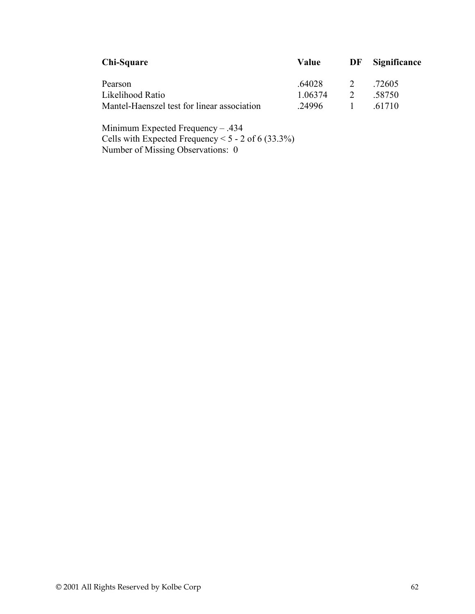| Chi-Square                                  | Value            | DF Significance |
|---------------------------------------------|------------------|-----------------|
| Pearson<br>Likelihood Ratio                 | 64028<br>1.06374 | .72605<br>58750 |
| Mantel-Haenszel test for linear association | 24996            | 61710           |

Minimum Expected Frequency – .434 Cells with Expected Frequency  $\leq 5$  - 2 of 6 (33.3%) Number of Missing Observations: 0